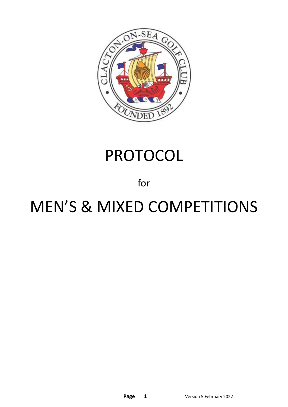

# PROTOCOL

### for

# MEN'S & MIXED COMPETITIONS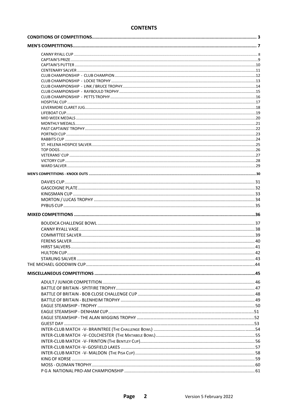#### **CONTENTS**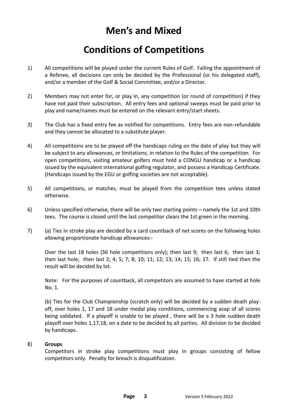## **Men's and Mixed**

### **Conditions of Competitions**

- 1) All competitions will be played under the current Rules of Golf. Failing the appointment of a Referee, all decisions can only be decided by the Professional (or his delegated staff), and/or a member of the Golf & Social Committee, and/or a Director.
- 2) Members may not enter for, or play in, any competition (or round of competition) if they have not paid their subscription. All entry fees and optional sweeps must be paid prior to play and name/names must be entered on the relevant entry/start sheets.
- 3) The Club has a fixed entry fee as notified for competitions. Entry fees are non-refundable and they cannot be allocated to a substitute player.
- 4) All competitions are to be played off the handicaps ruling on the date of play but they will be subject to any allowances, or limitations, in relation to the Rules of the competition. For open competitions, visiting amateur golfers must hold a CONGU handicap or a handicap issued by the equivalent international golfing regulator, and possess a Handicap Certificate. (Handicaps issued by the EGU or golfing societies are not acceptable).
- 5) All competitions, or matches, must be played from the competition tees unless stated otherwise.
- 6) Unless specified otherwise, there will be only two starting points namely the 1st and 10th tees. The course is closed until the last competitor clears the 1st green in the morning.
- 7) (a) Ties in stroke play are decided by a card countback of net scores on the following holes allowing proportionate handicap allowances:-

Over the last 18 holes (36 hole competitions only); then last 9; then last 6; then last 3; then last hole; then last 2; 4; 5; 7; 8; 10; 11; 12; 13; 14; 15; 16; 17. If still tied then the result will be decided by lot.

Note: For the purposes of countback, all competitors are assumed to have started at hole No. 1.

(b) Ties for the Club Championship (scratch only) will be decided by a sudden death playoff, over holes 1, 17 and 18 under medal play conditions, commencing asap of all scores being validated. If a playoff is unable to be played , there will be a 3 hole sudden death playoff over holes 1,17,18, on a date to be decided by all parties. All division to be decided by handicaps.

#### 8) **Groups**

Competitors in stroke play competitions must play in groups consisting of fellow competitors only. Penalty for breach is disqualification.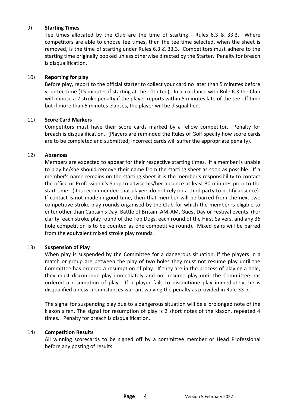#### 9) **Starting Times**

Tee times allocated by the Club are the time of starting - Rules 6.3 & 33.3. Where competitors are able to choose tee times, then the tee time selected, when the sheet is removed, is the time of starting under Rules 6.3 & 33.3. Competitors must adhere to the starting time originally booked unless otherwise directed by the Starter. Penalty for breach is disqualification.

#### 10) **Reporting for play**

Before play, report to the official starter to collect your card no later than 5 minutes before your tee time (15 minutes if starting at the 10th tee). In accordance with Rule 6.3 the Club will impose a 2 stroke penalty if the player reports within 5 minutes late of the tee off time but if more than 5 minutes elapses, the player will be disqualified.

#### 11) **Score Card Markers**

Competitors must have their score cards marked by a fellow competitor. Penalty for breach is disqualification. (Players are reminded the Rules of Golf specify how score cards are to be completed and submitted; incorrect cards will suffer the appropriate penalty).

#### 12) **Absences**

Members are expected to appear for their respective starting times. If a member is unable to play he/she should remove their name from the starting sheet as soon as possible. If a member's name remains on the starting sheet it is the member's responsibility to contact the office or Professional's Shop to advise his/her absence at least 30 minutes prior to the start time. (It is recommended that players do not rely on a third party to notify absence). If contact is not made in good time, then that member will be barred from the next two competitive stroke play rounds organised by the Club for which the member is eligible to enter other than Captain's Day, Battle of Britain, AM-AM, Guest Day or Festival events. (For clarity, each stroke play round of the Top Dogs, each round of the Hirst Salvers, and any 36 hole competition is to be counted as one competitive round). Mixed pairs will be barred from the equivalent mixed stroke play rounds.

#### 13) **Suspension of Play**

When play is suspended by the Committee for a dangerous situation, if the players in a match or group are between the play of two holes they must not resume play until the Committee has ordered a resumption of play. If they are in the process of playing a hole, they must discontinue play immediately and not resume play until the Committee has ordered a resumption of play. If a player fails to discontinue play immediately, he is disqualified unless circumstances warrant waiving the penalty as provided in Rule 33-7.

The signal for suspending play due to a dangerous situation will be a prolonged note of the klaxon siren. The signal for resumption of play is 2 short notes of the klaxon, repeated 4 times. Penalty for breach is disqualification.

#### 14) **Competition Results**

All winning scorecards to be signed off by a committee member or Head Professional before any posting of results.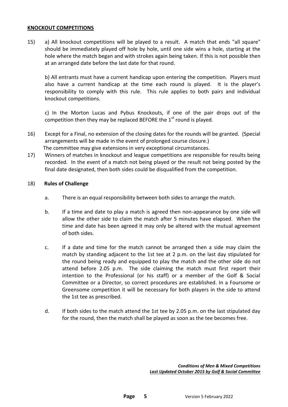#### **KNOCKOUT COMPETITIONS**

15) a) All knockout competitions will be played to a result. A match that ends "all square" should be immediately played off hole by hole, until one side wins a hole, starting at the hole where the match began and with strokes again being taken. If this is not possible then at an arranged date before the last date for that round.

b) All entrants must have a current handicap upon entering the competition. Players must also have a current handicap at the time each round is played. It is the player's responsibility to comply with this rule. This rule applies to both pairs and individual knockout competitions.

c) In the Morton Lucas and Pybus Knockouts, if one of the pair drops out of the competition then they may be replaced BEFORE the  $1<sup>st</sup>$  round is played.

- 16) Except for a Final, no extension of the closing dates for the rounds will be granted. (Special arrangements will be made in the event of prolonged course closure.) The committee may give extensions in very exceptional circumstances.
- 17) Winners of matches in knockout and league competitions are responsible for results being recorded. In the event of a match not being played or the result not being posted by the final date designated, then both sides could be disqualified from the competition.

#### 18) **Rules of Challenge**

- a. There is an equal responsibility between both sides to arrange the match.
- b. If a time and date to play a match is agreed then non-appearance by one side will allow the other side to claim the match after 5 minutes have elapsed. When the time and date has been agreed it may only be altered with the mutual agreement of both sides.
- c. If a date and time for the match cannot be arranged then a side may claim the match by standing adjacent to the 1st tee at 2 p.m. on the last day stipulated for the round being ready and equipped to play the match and the other side do not attend before 2.05 p.m. The side claiming the match must first report their intention to the Professional (or his staff) or a member of the Golf & Social Committee or a Director, so correct procedures are established. In a Foursome or Greensome competition it will be necessary for both players in the side to attend the 1st tee as prescribed.
- d. If both sides to the match attend the 1st tee by 2.05 p.m. on the last stipulated day for the round, then the match shall be played as soon as the tee becomes free.

*Conditions of Men & Mixed Competitions Last Updated October 2015 by Golf & Social Committee*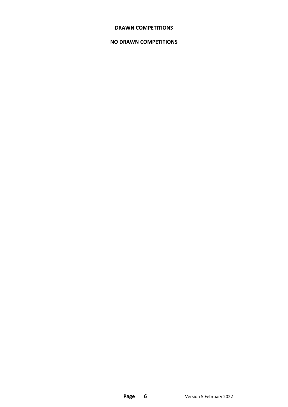#### **DRAWN COMPETITIONS**

#### **NO DRAWN COMPETITIONS**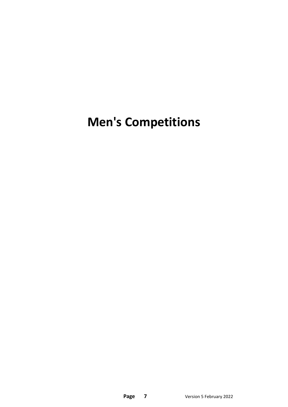# **Men's Competitions**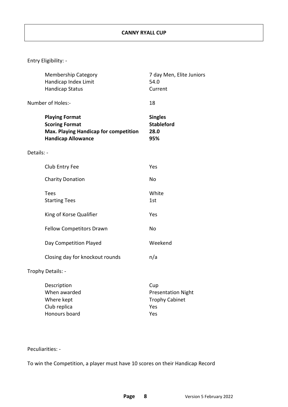|            | <b>Membership Category</b><br>Handicap Index Limit<br><b>Handicap Status</b>                                         | 7 day Men, Elite Juniors<br>54.0<br>Current                             |
|------------|----------------------------------------------------------------------------------------------------------------------|-------------------------------------------------------------------------|
|            | Number of Holes:-                                                                                                    | 18                                                                      |
|            | <b>Playing Format</b><br><b>Scoring Format</b><br>Max. Playing Handicap for competition<br><b>Handicap Allowance</b> | <b>Singles</b><br><b>Stableford</b><br>28.0<br>95%                      |
| Details: - |                                                                                                                      |                                                                         |
|            | Club Entry Fee                                                                                                       | Yes                                                                     |
|            | <b>Charity Donation</b>                                                                                              | <b>No</b>                                                               |
|            | <b>Tees</b><br><b>Starting Tees</b>                                                                                  | White<br>1st                                                            |
|            | King of Korse Qualifier                                                                                              | Yes                                                                     |
|            | <b>Fellow Competitors Drawn</b>                                                                                      | No                                                                      |
|            | Day Competition Played                                                                                               | Weekend                                                                 |
|            | Closing day for knockout rounds                                                                                      | n/a                                                                     |
|            | Trophy Details: -                                                                                                    |                                                                         |
|            | Description<br>When awarded<br>Where kept<br>Club replica<br>Honours board                                           | Cup<br><b>Presentation Night</b><br><b>Trophy Cabinet</b><br>Yes<br>Yes |

Peculiarities: -

To win the Competition, a player must have 10 scores on their Handicap Record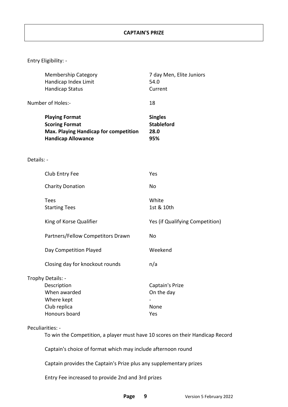|            | <b>Membership Category</b><br>Handicap Index Limit<br><b>Handicap Status</b>                                                | 7 day Men, Elite Juniors<br>54.0<br>Current        |
|------------|-----------------------------------------------------------------------------------------------------------------------------|----------------------------------------------------|
|            | Number of Holes:-                                                                                                           | 18                                                 |
|            | <b>Playing Format</b><br><b>Scoring Format</b><br><b>Max. Playing Handicap for competition</b><br><b>Handicap Allowance</b> | <b>Singles</b><br><b>Stableford</b><br>28.0<br>95% |
| Details: - |                                                                                                                             |                                                    |
|            | Club Entry Fee                                                                                                              | Yes                                                |
|            | <b>Charity Donation</b>                                                                                                     | No                                                 |
|            | <b>Tees</b><br><b>Starting Tees</b>                                                                                         | White<br>1st & 10th                                |
|            | King of Korse Qualifier                                                                                                     | Yes (if Qualifying Competition)                    |
|            | Partners/Fellow Competitors Drawn                                                                                           | No                                                 |
|            | Day Competition Played                                                                                                      | Weekend                                            |
|            | Closing day for knockout rounds                                                                                             | n/a                                                |
|            | Trophy Details: -<br>Description<br>When awarded<br>Where kept<br>Club replica<br>Honours board                             | Captain's Prize<br>On the day<br>None<br>Yes       |
|            | Peculiarities: -                                                                                                            |                                                    |
|            | To win the Competition, a player must have 10 scores on their Handicap Record                                               |                                                    |

Captain's choice of format which may include afternoon round

Captain provides the Captain's Prize plus any supplementary prizes

Entry Fee increased to provide 2nd and 3rd prizes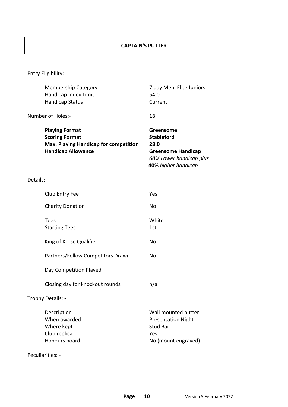#### **CAPTAIN'S PUTTER**

| Greensome<br><b>Stableford</b><br><b>Greensome Handicap</b><br>60% Lower handicap plus<br>40% higher handicap |
|---------------------------------------------------------------------------------------------------------------|
|                                                                                                               |
|                                                                                                               |
|                                                                                                               |
|                                                                                                               |
|                                                                                                               |
|                                                                                                               |
|                                                                                                               |
|                                                                                                               |
|                                                                                                               |
|                                                                                                               |
|                                                                                                               |
|                                                                                                               |
|                                                                                                               |
| Wall mounted putter<br><b>Presentation Night</b><br>No (mount engraved)                                       |
|                                                                                                               |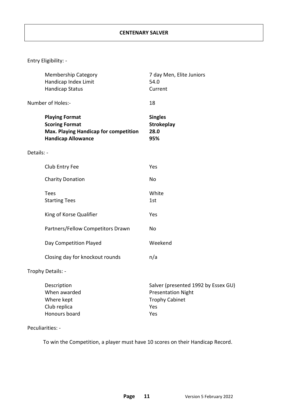|            | <b>Membership Category</b><br>Handicap Index Limit<br><b>Handicap Status</b>                                                | 7 day Men, Elite Juniors<br>54.0<br>Current                                                             |
|------------|-----------------------------------------------------------------------------------------------------------------------------|---------------------------------------------------------------------------------------------------------|
|            | Number of Holes:-                                                                                                           | 18                                                                                                      |
|            | <b>Playing Format</b><br><b>Scoring Format</b><br><b>Max. Playing Handicap for competition</b><br><b>Handicap Allowance</b> | <b>Singles</b><br><b>Strokeplay</b><br>28.0<br>95%                                                      |
| Details: - |                                                                                                                             |                                                                                                         |
|            | Club Entry Fee                                                                                                              | Yes                                                                                                     |
|            | <b>Charity Donation</b>                                                                                                     | No                                                                                                      |
|            | <b>Tees</b><br><b>Starting Tees</b>                                                                                         | White<br>1st                                                                                            |
|            | King of Korse Qualifier                                                                                                     | Yes                                                                                                     |
|            | Partners/Fellow Competitors Drawn                                                                                           | <b>No</b>                                                                                               |
|            | Day Competition Played                                                                                                      | Weekend                                                                                                 |
|            | Closing day for knockout rounds                                                                                             | n/a                                                                                                     |
|            | Trophy Details: -                                                                                                           |                                                                                                         |
|            | Description<br>When awarded<br>Where kept<br>Club replica<br>Honours board                                                  | Salver (presented 1992 by Essex GU)<br><b>Presentation Night</b><br><b>Trophy Cabinet</b><br>Yes<br>Yes |

#### Peculiarities: -

To win the Competition, a player must have 10 scores on their Handicap Record.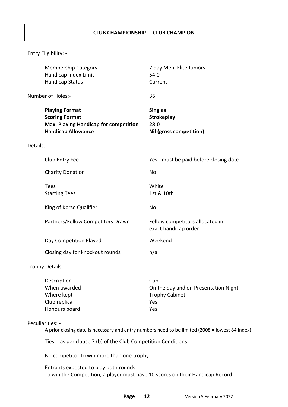|            | <b>Membership Category</b><br>Handicap Index Limit<br><b>Handicap Status</b>                                                | 7 day Men, Elite Juniors<br>54.0<br>Current                            |
|------------|-----------------------------------------------------------------------------------------------------------------------------|------------------------------------------------------------------------|
|            | Number of Holes:-                                                                                                           | 36                                                                     |
|            | <b>Playing Format</b><br><b>Scoring Format</b><br><b>Max. Playing Handicap for competition</b><br><b>Handicap Allowance</b> | <b>Singles</b><br><b>Strokeplay</b><br>28.0<br>Nil (gross competition) |
| Details: - |                                                                                                                             |                                                                        |
|            | Club Entry Fee                                                                                                              | Yes - must be paid before closing date                                 |
|            | <b>Charity Donation</b>                                                                                                     | <b>No</b>                                                              |
|            | <b>Tees</b><br><b>Starting Tees</b>                                                                                         | White<br>1st & 10th                                                    |
|            | King of Korse Qualifier                                                                                                     | No                                                                     |
|            | Partners/Fellow Competitors Drawn                                                                                           | Fellow competitors allocated in<br>exact handicap order                |
|            | Day Competition Played                                                                                                      | Weekend                                                                |
|            | Closing day for knockout rounds                                                                                             | n/a                                                                    |
|            | Trophy Details: -                                                                                                           |                                                                        |
|            | Description<br>hehrswam NVI                                                                                                 | Cup<br>On the day and on Presentation Night                            |

| <b>DUJUINTUUI</b> | <b>CUM</b>                           |
|-------------------|--------------------------------------|
| When awarded      | On the day and on Presentation Night |
| Where kept        | <b>Trophy Cabinet</b>                |
| Club replica      | Yes                                  |
| Honours board     | Υρς                                  |
|                   |                                      |

Peculiarities: -

A prior closing date is necessary and entry numbers need to be limited (2008 = lowest 84 index)

Ties:- as per clause 7 (b) of the Club Competition Conditions

No competitor to win more than one trophy

Entrants expected to play both rounds To win the Competition, a player must have 10 scores on their Handicap Record.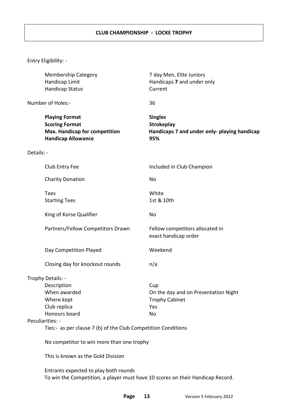#### **CLUB CHAMPIONSHIP - LOCKE TROPHY**

| <b>Membership Category</b><br>Handicap Limit<br><b>Handicap Status</b>                                              | 7 day Men, Elite Juniors<br>Handicaps 7 and under only<br>Current                          |
|---------------------------------------------------------------------------------------------------------------------|--------------------------------------------------------------------------------------------|
| Number of Holes:-                                                                                                   | 36                                                                                         |
| <b>Playing Format</b><br><b>Scoring Format</b><br><b>Max. Handicap for competition</b><br><b>Handicap Allowance</b> | <b>Singles</b><br><b>Strokeplay</b><br>Handicaps 7 and under only- playing handicap<br>95% |
| Details: -                                                                                                          |                                                                                            |
| Club Entry Fee                                                                                                      | Included in Club Champion                                                                  |
| <b>Charity Donation</b>                                                                                             | No                                                                                         |
| <b>Tees</b><br><b>Starting Tees</b>                                                                                 | White<br>1st & 10th                                                                        |
| King of Korse Qualifier                                                                                             | No                                                                                         |
| Partners/Fellow Competitors Drawn                                                                                   | Fellow competitors allocated in<br>exact handicap order                                    |
| Day Competition Played                                                                                              | Weekend                                                                                    |
| Closing day for knockout rounds                                                                                     | n/a                                                                                        |
| Trophy Details: -                                                                                                   |                                                                                            |
| Description                                                                                                         | Cup                                                                                        |
| When awarded                                                                                                        | On the day and on Presentation Night                                                       |
| Where kept                                                                                                          | <b>Trophy Cabinet</b>                                                                      |
| Club replica                                                                                                        | Yes                                                                                        |
| Honours board                                                                                                       | No                                                                                         |
| Peculiarities: -<br>Ties:- as per clause 7 (b) of the Club Competition Conditions                                   |                                                                                            |
|                                                                                                                     |                                                                                            |
| No competitor to win more than one trophy                                                                           |                                                                                            |
| This is known as the Gold Division                                                                                  |                                                                                            |
| Entrants expected to play both rounds                                                                               | To win the Competition, a player must have 10 scores on their Handicap Record.             |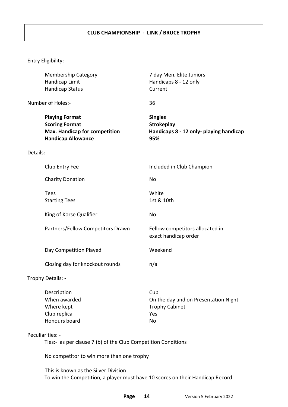#### **CLUB CHAMPIONSHIP - LINK / BRUCE TROPHY**

|            | <b>Membership Category</b><br>Handicap Limit<br><b>Handicap Status</b>                                                 | 7 day Men, Elite Juniors<br>Handicaps 8 - 12 only<br>Current                          |
|------------|------------------------------------------------------------------------------------------------------------------------|---------------------------------------------------------------------------------------|
|            | Number of Holes:-                                                                                                      | 36                                                                                    |
|            | <b>Playing Format</b><br><b>Scoring Format</b><br><b>Max. Handicap for competition</b><br><b>Handicap Allowance</b>    | <b>Singles</b><br><b>Strokeplay</b><br>Handicaps 8 - 12 only- playing handicap<br>95% |
| Details: - |                                                                                                                        |                                                                                       |
|            | Club Entry Fee                                                                                                         | Included in Club Champion                                                             |
|            | <b>Charity Donation</b>                                                                                                | No                                                                                    |
|            | <b>Tees</b><br><b>Starting Tees</b>                                                                                    | White<br>1st & 10th                                                                   |
|            | King of Korse Qualifier                                                                                                | No                                                                                    |
|            | Partners/Fellow Competitors Drawn                                                                                      | Fellow competitors allocated in<br>exact handicap order                               |
|            | Day Competition Played                                                                                                 | Weekend                                                                               |
|            | Closing day for knockout rounds                                                                                        | n/a                                                                                   |
|            | Trophy Details: -                                                                                                      |                                                                                       |
|            | Description<br>When awarded<br>Where kept<br>Club replica<br>Honours board                                             | Cup<br>On the day and on Presentation Night<br><b>Trophy Cabinet</b><br>Yes<br>No     |
|            | Peculiarities: -<br>Ties:- as per clause 7 (b) of the Club Competition Conditions                                      |                                                                                       |
|            | No competitor to win more than one trophy                                                                              |                                                                                       |
|            | This is known as the Silver Division<br>To win the Competition, a player must have 10 scores on their Handicap Record. |                                                                                       |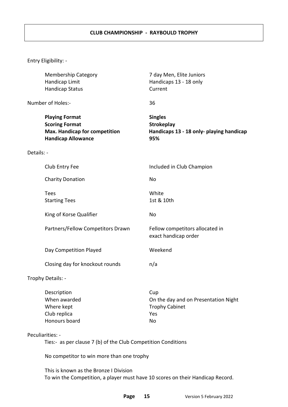#### **CLUB CHAMPIONSHIP - RAYBOULD TROPHY**

|                   | <b>Membership Category</b><br>Handicap Limit<br><b>Handicap Status</b>                                                   | 7 day Men, Elite Juniors<br>Handicaps 13 - 18 only<br>Current                          |
|-------------------|--------------------------------------------------------------------------------------------------------------------------|----------------------------------------------------------------------------------------|
|                   | Number of Holes:-                                                                                                        | 36                                                                                     |
|                   | <b>Playing Format</b><br><b>Scoring Format</b><br><b>Max. Handicap for competition</b><br><b>Handicap Allowance</b>      | <b>Singles</b><br><b>Strokeplay</b><br>Handicaps 13 - 18 only- playing handicap<br>95% |
| Details: -        |                                                                                                                          |                                                                                        |
|                   | Club Entry Fee                                                                                                           | Included in Club Champion                                                              |
|                   | <b>Charity Donation</b>                                                                                                  | <b>No</b>                                                                              |
|                   | <b>Tees</b><br><b>Starting Tees</b>                                                                                      | White<br>1st & 10th                                                                    |
|                   | King of Korse Qualifier                                                                                                  | <b>No</b>                                                                              |
|                   | Partners/Fellow Competitors Drawn                                                                                        | Fellow competitors allocated in<br>exact handicap order                                |
|                   | Day Competition Played                                                                                                   | Weekend                                                                                |
|                   | Closing day for knockout rounds                                                                                          | n/a                                                                                    |
| Trophy Details: - |                                                                                                                          |                                                                                        |
|                   | Description<br>When awarded<br>Where kept<br>Club replica<br>Honours board                                               | Cup<br>On the day and on Presentation Night<br><b>Trophy Cabinet</b><br>Yes<br>No      |
| Peculiarities: -  | Ties:- as per clause 7 (b) of the Club Competition Conditions                                                            |                                                                                        |
|                   | No competitor to win more than one trophy                                                                                |                                                                                        |
|                   | This is known as the Bronze I Division<br>To win the Competition, a player must have 10 scores on their Handicap Record. |                                                                                        |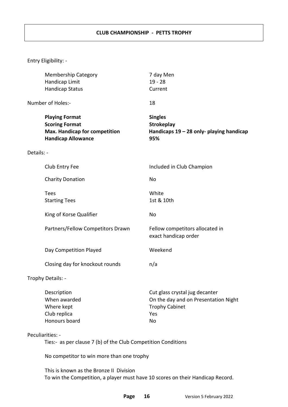#### **CLUB CHAMPIONSHIP - PETTS TROPHY**

|                                                                                   | <b>Membership Category</b><br>Handicap Limit<br><b>Handicap Status</b>                                                    | 7 day Men<br>$19 - 28$<br>Current                                                                            |
|-----------------------------------------------------------------------------------|---------------------------------------------------------------------------------------------------------------------------|--------------------------------------------------------------------------------------------------------------|
| Number of Holes:-                                                                 |                                                                                                                           | 18                                                                                                           |
|                                                                                   | <b>Playing Format</b><br><b>Scoring Format</b><br>Max. Handicap for competition<br><b>Handicap Allowance</b>              | <b>Singles</b><br><b>Strokeplay</b><br>Handicaps $19 - 28$ only- playing handicap<br>95%                     |
| Details: -                                                                        |                                                                                                                           |                                                                                                              |
|                                                                                   | Club Entry Fee                                                                                                            | Included in Club Champion                                                                                    |
|                                                                                   | <b>Charity Donation</b>                                                                                                   | No                                                                                                           |
| <b>Tees</b>                                                                       | <b>Starting Tees</b>                                                                                                      | White<br>1st & 10th                                                                                          |
|                                                                                   | King of Korse Qualifier                                                                                                   | No                                                                                                           |
|                                                                                   | Partners/Fellow Competitors Drawn                                                                                         | Fellow competitors allocated in<br>exact handicap order                                                      |
|                                                                                   | Day Competition Played                                                                                                    | Weekend                                                                                                      |
|                                                                                   | Closing day for knockout rounds                                                                                           | n/a                                                                                                          |
| Trophy Details: -                                                                 |                                                                                                                           |                                                                                                              |
|                                                                                   | Description<br>When awarded<br>Where kept<br>Club replica<br>Honours board                                                | Cut glass crystal jug decanter<br>On the day and on Presentation Night<br><b>Trophy Cabinet</b><br>Yes<br>No |
| Peculiarities: -<br>Ties:- as per clause 7 (b) of the Club Competition Conditions |                                                                                                                           |                                                                                                              |
|                                                                                   | No competitor to win more than one trophy                                                                                 |                                                                                                              |
|                                                                                   | This is known as the Bronze II Division<br>To win the Competition, a player must have 10 scores on their Handicap Record. |                                                                                                              |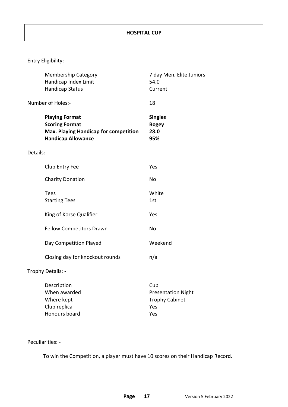|            | <b>Membership Category</b><br>Handicap Index Limit<br><b>Handicap Status</b>                                                | 7 day Men, Elite Juniors<br>54.0<br>Current                             |
|------------|-----------------------------------------------------------------------------------------------------------------------------|-------------------------------------------------------------------------|
|            | Number of Holes:-                                                                                                           | 18                                                                      |
|            | <b>Playing Format</b><br><b>Scoring Format</b><br><b>Max. Playing Handicap for competition</b><br><b>Handicap Allowance</b> | <b>Singles</b><br><b>Bogey</b><br>28.0<br>95%                           |
| Details: - |                                                                                                                             |                                                                         |
|            | Club Entry Fee                                                                                                              | Yes                                                                     |
|            | <b>Charity Donation</b>                                                                                                     | <b>No</b>                                                               |
|            | <b>Tees</b><br><b>Starting Tees</b>                                                                                         | White<br>1st                                                            |
|            | King of Korse Qualifier                                                                                                     | Yes                                                                     |
|            | <b>Fellow Competitors Drawn</b>                                                                                             | <b>No</b>                                                               |
|            | Day Competition Played                                                                                                      | Weekend                                                                 |
|            | Closing day for knockout rounds                                                                                             | n/a                                                                     |
|            | Trophy Details: -                                                                                                           |                                                                         |
|            | Description<br>When awarded<br>Where kept<br>Club replica<br>Honours board                                                  | Cup<br><b>Presentation Night</b><br><b>Trophy Cabinet</b><br>Yes<br>Yes |

#### Peculiarities: -

To win the Competition, a player must have 10 scores on their Handicap Record.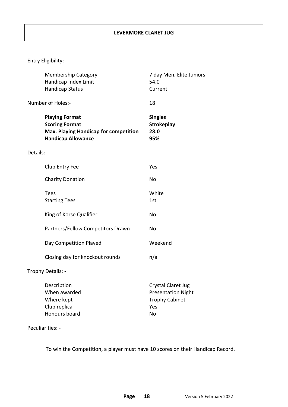|            | <b>Membership Category</b><br>Handicap Index Limit<br><b>Handicap Status</b>                                                | 7 day Men, Elite Juniors<br>54.0<br>Current                                                  |
|------------|-----------------------------------------------------------------------------------------------------------------------------|----------------------------------------------------------------------------------------------|
|            | Number of Holes:-                                                                                                           | 18                                                                                           |
|            | <b>Playing Format</b><br><b>Scoring Format</b><br><b>Max. Playing Handicap for competition</b><br><b>Handicap Allowance</b> | <b>Singles</b><br><b>Strokeplay</b><br>28.0<br>95%                                           |
| Details: - |                                                                                                                             |                                                                                              |
|            | Club Entry Fee                                                                                                              | Yes                                                                                          |
|            | <b>Charity Donation</b>                                                                                                     | <b>No</b>                                                                                    |
|            | <b>Tees</b><br><b>Starting Tees</b>                                                                                         | White<br>1st                                                                                 |
|            | King of Korse Qualifier                                                                                                     | <b>No</b>                                                                                    |
|            | Partners/Fellow Competitors Drawn                                                                                           | No                                                                                           |
|            | Day Competition Played                                                                                                      | Weekend                                                                                      |
|            | Closing day for knockout rounds                                                                                             | n/a                                                                                          |
|            | Trophy Details: -                                                                                                           |                                                                                              |
|            | Description<br>When awarded<br>Where kept<br>Club replica<br><b>Honours board</b>                                           | <b>Crystal Claret Jug</b><br><b>Presentation Night</b><br><b>Trophy Cabinet</b><br>Yes<br>No |

#### Peculiarities: -

To win the Competition, a player must have 10 scores on their Handicap Record.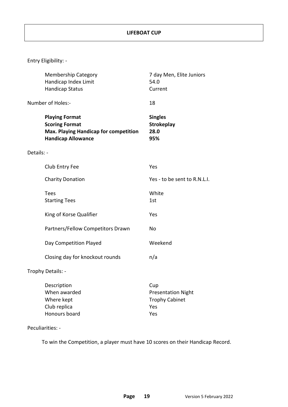|            | <b>Membership Category</b><br>Handicap Index Limit<br><b>Handicap Status</b>                                                | 7 day Men, Elite Juniors<br>54.0<br>Current                      |
|------------|-----------------------------------------------------------------------------------------------------------------------------|------------------------------------------------------------------|
|            | Number of Holes:-                                                                                                           | 18                                                               |
|            | <b>Playing Format</b><br><b>Scoring Format</b><br><b>Max. Playing Handicap for competition</b><br><b>Handicap Allowance</b> | <b>Singles</b><br><b>Strokeplay</b><br>28.0<br>95%               |
| Details: - |                                                                                                                             |                                                                  |
|            | Club Entry Fee                                                                                                              | Yes                                                              |
|            | <b>Charity Donation</b>                                                                                                     | Yes - to be sent to R.N.L.I.                                     |
|            | <b>Tees</b><br><b>Starting Tees</b>                                                                                         | White<br>1st                                                     |
|            | King of Korse Qualifier                                                                                                     | Yes                                                              |
|            | Partners/Fellow Competitors Drawn                                                                                           | No                                                               |
|            | Day Competition Played                                                                                                      | Weekend                                                          |
|            | Closing day for knockout rounds                                                                                             | n/a                                                              |
|            | Trophy Details: -                                                                                                           |                                                                  |
|            | Description<br>When awarded<br>Where kept<br>Club replica                                                                   | Cup<br><b>Presentation Night</b><br><b>Trophy Cabinet</b><br>Yes |

#### Peculiarities: -

To win the Competition, a player must have 10 scores on their Handicap Record.

Honours board **Yes**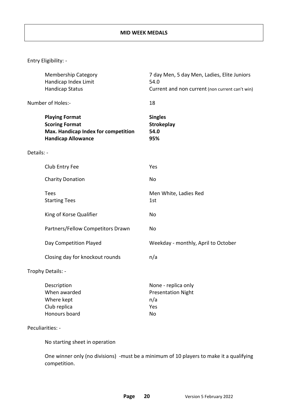|            | <b>Membership Category</b><br>Handicap Index Limit<br><b>Handicap Status</b>                                       | 7 day Men, 5 day Men, Ladies, Elite Juniors<br>54.0<br>Current and non current (non current can't win) |
|------------|--------------------------------------------------------------------------------------------------------------------|--------------------------------------------------------------------------------------------------------|
|            | Number of Holes:-                                                                                                  | 18                                                                                                     |
|            | <b>Playing Format</b><br><b>Scoring Format</b><br>Max. Handicap Index for competition<br><b>Handicap Allowance</b> | <b>Singles</b><br><b>Strokeplay</b><br>54.0<br>95%                                                     |
| Details: - |                                                                                                                    |                                                                                                        |
|            | Club Entry Fee                                                                                                     | Yes                                                                                                    |
|            | <b>Charity Donation</b>                                                                                            | No                                                                                                     |
|            | <b>Tees</b><br><b>Starting Tees</b>                                                                                | Men White, Ladies Red<br>1st                                                                           |
|            | King of Korse Qualifier                                                                                            | No                                                                                                     |
|            | Partners/Fellow Competitors Drawn                                                                                  | No                                                                                                     |
|            | Day Competition Played                                                                                             | Weekday - monthly, April to October                                                                    |
|            | Closing day for knockout rounds                                                                                    | n/a                                                                                                    |
|            | Trophy Details: -                                                                                                  |                                                                                                        |
|            | Description<br>When awarded<br>Where kept<br>Club replica<br>Honours board                                         | None - replica only<br><b>Presentation Night</b><br>n/a<br>Yes<br>No                                   |
|            | Peculiarities: -                                                                                                   |                                                                                                        |

No starting sheet in operation

One winner only (no divisions) -must be a minimum of 10 players to make it a qualifying competition.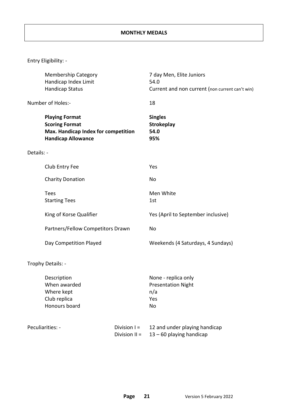|            | <b>Membership Category</b><br>Handicap Index Limit<br><b>Handicap Status</b>                                       |                                 | 7 day Men, Elite Juniors<br>54.0<br>Current and non current (non current can't win) |
|------------|--------------------------------------------------------------------------------------------------------------------|---------------------------------|-------------------------------------------------------------------------------------|
|            | Number of Holes:-                                                                                                  |                                 | 18                                                                                  |
|            | <b>Playing Format</b><br><b>Scoring Format</b><br>Max. Handicap Index for competition<br><b>Handicap Allowance</b> |                                 | <b>Singles</b><br><b>Strokeplay</b><br>54.0<br>95%                                  |
| Details: - |                                                                                                                    |                                 |                                                                                     |
|            | Club Entry Fee                                                                                                     |                                 | Yes                                                                                 |
|            | <b>Charity Donation</b>                                                                                            |                                 | No                                                                                  |
|            | <b>Tees</b><br><b>Starting Tees</b>                                                                                |                                 | Men White<br>1st                                                                    |
|            | King of Korse Qualifier                                                                                            |                                 | Yes (April to September inclusive)                                                  |
|            | Partners/Fellow Competitors Drawn                                                                                  |                                 | No                                                                                  |
|            | Day Competition Played                                                                                             |                                 | Weekends (4 Saturdays, 4 Sundays)                                                   |
|            | Trophy Details: -                                                                                                  |                                 |                                                                                     |
|            | Description<br>When awarded<br>Where kept<br>Club replica<br>Honours board                                         |                                 | None - replica only<br><b>Presentation Night</b><br>n/a<br>Yes<br>No                |
|            | Peculiarities: -                                                                                                   | Division $I =$<br>Division II = | 12 and under playing handicap<br>$13 - 60$ playing handicap                         |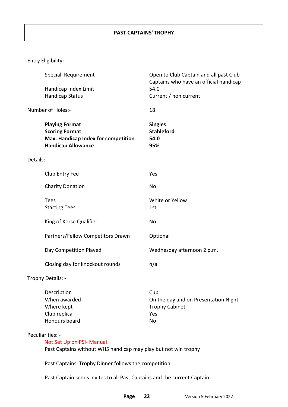|            | Special Requirement                                                                                                | Open to Club Captain and all past Club<br>Captains who have an official handicap |
|------------|--------------------------------------------------------------------------------------------------------------------|----------------------------------------------------------------------------------|
|            | Handicap Index Limit                                                                                               | 54.0                                                                             |
|            | <b>Handicap Status</b>                                                                                             | Current / non current                                                            |
|            | Number of Holes:-                                                                                                  | 18                                                                               |
|            | <b>Playing Format</b><br><b>Scoring Format</b><br>Max. Handicap Index for competition<br><b>Handicap Allowance</b> | <b>Singles</b><br><b>Stableford</b><br>54.0<br>95%                               |
| Details: - |                                                                                                                    |                                                                                  |
|            | Club Entry Fee                                                                                                     | Yes                                                                              |
|            | <b>Charity Donation</b>                                                                                            | <b>No</b>                                                                        |
|            | <b>Tees</b><br><b>Starting Tees</b>                                                                                | White or Yellow<br>1st                                                           |
|            | King of Korse Qualifier                                                                                            | No                                                                               |
|            | Partners/Fellow Competitors Drawn                                                                                  | Optional                                                                         |
|            | Day Competition Played                                                                                             | Wednesday afternoon 2 p.m.                                                       |
|            | Closing day for knockout rounds                                                                                    | n/a                                                                              |
|            | Trophy Details: -                                                                                                  |                                                                                  |
|            | Description<br>When awarded<br>Where kept<br>Club replica                                                          | Cup<br>On the day and on Presentation Night<br><b>Trophy Cabinet</b><br>Yes      |

#### Peculiarities: -

#### Not Set Up on PSI- Manual

Past Captains without WHS handicap may play but not win trophy

Past Captains' Trophy Dinner follows the competition

Honours board No

Past Captain sends invites to all Past Captains and the current Captain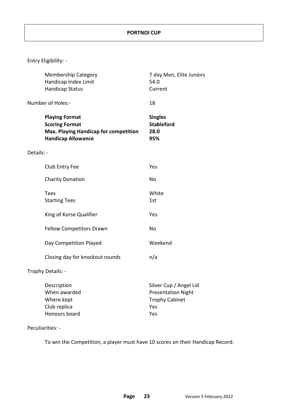|            | <b>Membership Category</b><br>Handicap Index Limit<br><b>Handicap Status</b>                                         | 7 day Men, Elite Juniors<br>54.0<br>Current                                                |
|------------|----------------------------------------------------------------------------------------------------------------------|--------------------------------------------------------------------------------------------|
|            | Number of Holes:-                                                                                                    | 18                                                                                         |
|            | <b>Playing Format</b><br><b>Scoring Format</b><br>Max. Playing Handicap for competition<br><b>Handicap Allowance</b> | <b>Singles</b><br><b>Stableford</b><br>28.0<br>95%                                         |
| Details: - |                                                                                                                      |                                                                                            |
|            | Club Entry Fee                                                                                                       | Yes                                                                                        |
|            | <b>Charity Donation</b>                                                                                              | No                                                                                         |
|            | <b>Tees</b><br><b>Starting Tees</b>                                                                                  | White<br>1st                                                                               |
|            | King of Korse Qualifier                                                                                              | Yes                                                                                        |
|            | <b>Fellow Competitors Drawn</b>                                                                                      | No                                                                                         |
|            | Day Competition Played                                                                                               | Weekend                                                                                    |
|            | Closing day for knockout rounds                                                                                      | n/a                                                                                        |
|            | Trophy Details: -                                                                                                    |                                                                                            |
|            | Description<br>When awarded<br>Where kept<br>Club replica<br>Honours board                                           | Silver Cup / Angel Lid<br><b>Presentation Night</b><br><b>Trophy Cabinet</b><br>Yes<br>Yes |

#### Peculiarities: -

To win the Competition, a player must have 10 scores on their Handicap Record.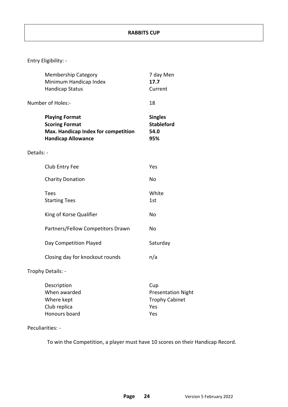|            | <b>Membership Category</b><br>Minimum Handicap Index<br><b>Handicap Status</b>                                     | 7 day Men<br>17.7<br>Current                                            |
|------------|--------------------------------------------------------------------------------------------------------------------|-------------------------------------------------------------------------|
|            | Number of Holes:-                                                                                                  | 18                                                                      |
|            | <b>Playing Format</b><br><b>Scoring Format</b><br>Max. Handicap Index for competition<br><b>Handicap Allowance</b> | <b>Singles</b><br><b>Stableford</b><br>54.0<br>95%                      |
| Details: - |                                                                                                                    |                                                                         |
|            | Club Entry Fee                                                                                                     | Yes                                                                     |
|            | <b>Charity Donation</b>                                                                                            | No                                                                      |
|            | <b>Tees</b><br><b>Starting Tees</b>                                                                                | White<br>1st                                                            |
|            | King of Korse Qualifier                                                                                            | No                                                                      |
|            | Partners/Fellow Competitors Drawn                                                                                  | No                                                                      |
|            | Day Competition Played                                                                                             | Saturday                                                                |
|            | Closing day for knockout rounds                                                                                    | n/a                                                                     |
|            | Trophy Details: -                                                                                                  |                                                                         |
|            | Description<br>When awarded<br>Where kept<br>Club replica<br>Honours board                                         | Cup<br><b>Presentation Night</b><br><b>Trophy Cabinet</b><br>Yes<br>Yes |

#### Peculiarities: -

To win the Competition, a player must have 10 scores on their Handicap Record.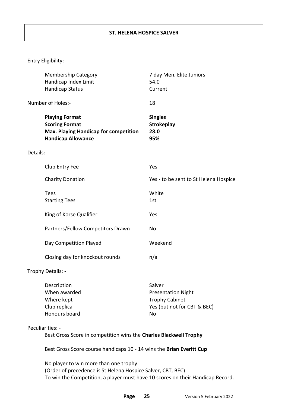|                                                                                       | <b>Membership Category</b><br>Handicap Index Limit<br><b>Handicap Status</b>                                         | 7 day Men, Elite Juniors<br>54.0<br>Current                                                       |
|---------------------------------------------------------------------------------------|----------------------------------------------------------------------------------------------------------------------|---------------------------------------------------------------------------------------------------|
|                                                                                       | Number of Holes:-                                                                                                    | 18                                                                                                |
|                                                                                       | <b>Playing Format</b><br><b>Scoring Format</b><br>Max. Playing Handicap for competition<br><b>Handicap Allowance</b> | <b>Singles</b><br>Strokeplay<br>28.0<br>95%                                                       |
| Details: -                                                                            |                                                                                                                      |                                                                                                   |
|                                                                                       | Club Entry Fee                                                                                                       | Yes                                                                                               |
|                                                                                       | <b>Charity Donation</b>                                                                                              | Yes - to be sent to St Helena Hospice                                                             |
|                                                                                       | <b>Tees</b><br><b>Starting Tees</b>                                                                                  | White<br>1st                                                                                      |
|                                                                                       | King of Korse Qualifier                                                                                              | Yes                                                                                               |
|                                                                                       | Partners/Fellow Competitors Drawn                                                                                    | No                                                                                                |
|                                                                                       | Day Competition Played                                                                                               | Weekend                                                                                           |
|                                                                                       | Closing day for knockout rounds                                                                                      | n/a                                                                                               |
|                                                                                       | Trophy Details: -                                                                                                    |                                                                                                   |
|                                                                                       | Description<br>When awarded<br>Where kept<br>Club replica<br>Honours board                                           | Salver<br><b>Presentation Night</b><br><b>Trophy Cabinet</b><br>Yes (but not for CBT & BEC)<br>No |
| Peculiarities: -<br>Best Gross Score in competition wins the Charles Blackwell Trophy |                                                                                                                      |                                                                                                   |

Best Gross Score course handicaps 10 - 14 wins the **Brian Everitt Cup**

No player to win more than one trophy. (Order of precedence is St Helena Hospice Salver, CBT, BEC) To win the Competition, a player must have 10 scores on their Handicap Record.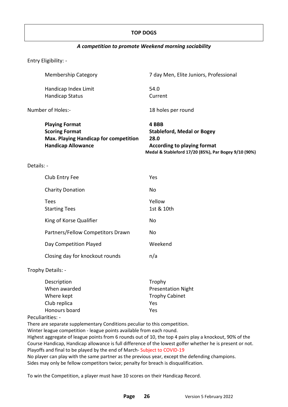#### **TOP DOGS**

#### *A competition to promote Weekend morning sociability*

Entry Eligibility: -

|            | <b>Membership Category</b>                                                                                                  | 7 day Men, Elite Juniors, Professional                                                   |
|------------|-----------------------------------------------------------------------------------------------------------------------------|------------------------------------------------------------------------------------------|
|            | Handicap Index Limit                                                                                                        | 54.0                                                                                     |
|            | <b>Handicap Status</b>                                                                                                      | Current                                                                                  |
|            | Number of Holes:-                                                                                                           | 18 holes per round                                                                       |
|            | <b>Playing Format</b><br><b>Scoring Format</b><br><b>Max. Playing Handicap for competition</b><br><b>Handicap Allowance</b> | 4 BBB<br><b>Stableford, Medal or Bogey</b><br>28.0<br><b>According to playing format</b> |
|            |                                                                                                                             | Medal & Stableford 17/20 (85%), Par Bogey 9/10 (90%)                                     |
| Details: - |                                                                                                                             |                                                                                          |
|            | Club Entry Fee                                                                                                              | Yes                                                                                      |

| <b>Charity Donation</b>           | No                   |
|-----------------------------------|----------------------|
| Tees<br><b>Starting Tees</b>      | Yellow<br>1st & 10th |
| King of Korse Qualifier           | No                   |
| Partners/Fellow Competitors Drawn | No                   |
| Day Competition Played            | Weekend              |
| Closing day for knockout rounds   | n/a                  |

Trophy Details: -

| Description   | Trophy                    |
|---------------|---------------------------|
| When awarded  | <b>Presentation Night</b> |
| Where kept    | <b>Trophy Cabinet</b>     |
| Club replica  | Yes                       |
| Honours board | Yes                       |

Peculiarities: -

There are separate supplementary Conditions peculiar to this competition.

Winter league competition - league points available from each round.

Highest aggregate of league points from 6 rounds out of 10, the top 4 pairs play a knockout, 90% of the Course Handicap, Handicap allowance is full difference of the lowest golfer whether he is present or not. Playoffs and final to be played by the end of March- Subject to COVID-19

No player can play with the same partner as the previous year, except the defending champions. Sides may only be fellow competitors twice; penalty for breach is disqualification.

To win the Competition, a player must have 10 scores on their Handicap Record.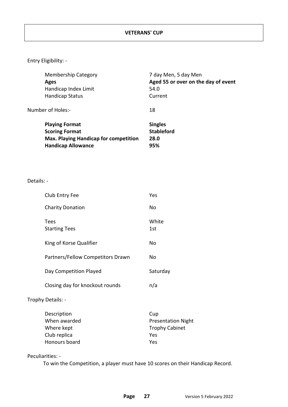| <b>Membership Category</b>                   | 7 day Men, 5 day Men                |
|----------------------------------------------|-------------------------------------|
| Ages                                         | Aged 55 or over on the day of event |
| Handicap Index Limit                         | 54.0                                |
| Handicap Status                              | Current                             |
| Number of Holes:-                            | 18                                  |
| <b>Playing Format</b>                        | <b>Singles</b>                      |
| <b>Scoring Format</b>                        | <b>Stableford</b>                   |
| <b>Max. Playing Handicap for competition</b> | 28.0                                |
| <b>Handicap Allowance</b>                    | 95%                                 |
|                                              |                                     |

#### Details: -

| <b>Charity Donation</b><br>No<br><b>Tees</b><br>White                                                                    |                           |
|--------------------------------------------------------------------------------------------------------------------------|---------------------------|
|                                                                                                                          |                           |
| <b>Starting Tees</b><br>1st                                                                                              |                           |
| King of Korse Qualifier<br>No                                                                                            |                           |
| Partners/Fellow Competitors Drawn<br>No                                                                                  |                           |
| Day Competition Played<br>Saturday                                                                                       |                           |
| Closing day for knockout rounds<br>n/a                                                                                   |                           |
| Trophy Details: -                                                                                                        |                           |
| Description<br>Cup<br>When awarded<br><b>Trophy Cabinet</b><br>Where kept<br>Club replica<br>Yes<br>Honours board<br>Yes | <b>Presentation Night</b> |

Peculiarities: -

To win the Competition, a player must have 10 scores on their Handicap Record.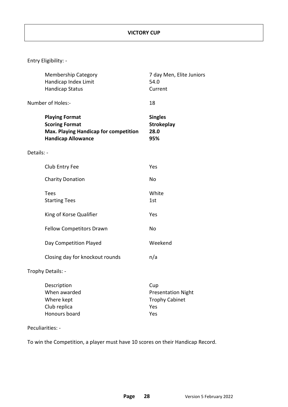|            | <b>Membership Category</b><br>Handicap Index Limit<br><b>Handicap Status</b>                                         | 7 day Men, Elite Juniors<br>54.0<br>Current                      |
|------------|----------------------------------------------------------------------------------------------------------------------|------------------------------------------------------------------|
|            | Number of Holes:-                                                                                                    | 18                                                               |
|            | <b>Playing Format</b><br><b>Scoring Format</b><br>Max. Playing Handicap for competition<br><b>Handicap Allowance</b> | <b>Singles</b><br><b>Strokeplay</b><br>28.0<br>95%               |
| Details: - |                                                                                                                      |                                                                  |
|            | Club Entry Fee                                                                                                       | Yes                                                              |
|            | <b>Charity Donation</b>                                                                                              | No                                                               |
|            | <b>Tees</b><br><b>Starting Tees</b>                                                                                  | White<br>1st                                                     |
|            | King of Korse Qualifier                                                                                              | Yes                                                              |
|            | Fellow Competitors Drawn                                                                                             | <b>No</b>                                                        |
|            | Day Competition Played                                                                                               | Weekend                                                          |
|            | Closing day for knockout rounds                                                                                      | n/a                                                              |
|            | Trophy Details: -                                                                                                    |                                                                  |
|            | Description<br>When awarded<br>Where kept<br>Club replica                                                            | Cup<br><b>Presentation Night</b><br><b>Trophy Cabinet</b><br>Yes |

Peculiarities: -

To win the Competition, a player must have 10 scores on their Handicap Record.

Honours board **Yes**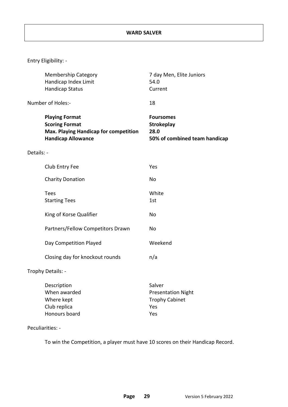|            | <b>Membership Category</b><br>Handicap Index Limit<br><b>Handicap Status</b>                                         | 7 day Men, Elite Juniors<br>54.0<br>Current                                    |
|------------|----------------------------------------------------------------------------------------------------------------------|--------------------------------------------------------------------------------|
|            | Number of Holes:-                                                                                                    | 18                                                                             |
|            | <b>Playing Format</b><br><b>Scoring Format</b><br>Max. Playing Handicap for competition<br><b>Handicap Allowance</b> | <b>Foursomes</b><br><b>Strokeplay</b><br>28.0<br>50% of combined team handicap |
| Details: - |                                                                                                                      |                                                                                |
|            | Club Entry Fee                                                                                                       | Yes                                                                            |
|            | <b>Charity Donation</b>                                                                                              | No                                                                             |
|            | <b>Tees</b><br><b>Starting Tees</b>                                                                                  | White<br>1st                                                                   |
|            | King of Korse Qualifier                                                                                              | No                                                                             |
|            | Partners/Fellow Competitors Drawn                                                                                    | No                                                                             |
|            | Day Competition Played                                                                                               | Weekend                                                                        |
|            | Closing day for knockout rounds                                                                                      | n/a                                                                            |
|            | Trophy Details: -                                                                                                    |                                                                                |
|            | Description<br>When awarded<br>Where kept<br>Club replica<br>Honours board                                           | Salver<br><b>Presentation Night</b><br><b>Trophy Cabinet</b><br>Yes<br>Yes     |

#### Peculiarities: -

To win the Competition, a player must have 10 scores on their Handicap Record.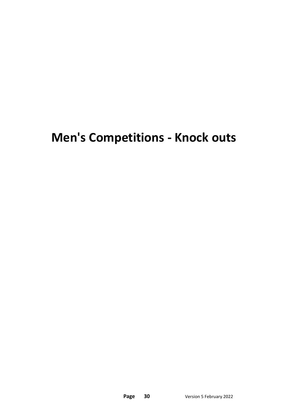## **Men's Competitions - Knock outs**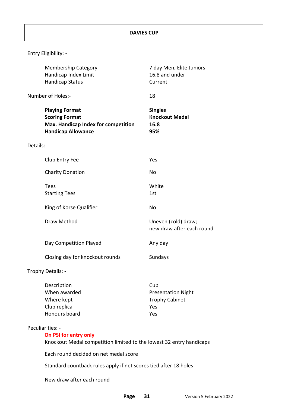|            | <b>Membership Category</b><br>Handicap Index Limit<br><b>Handicap Status</b>                                       | 7 day Men, Elite Juniors<br>16.8 and under<br>Current  |
|------------|--------------------------------------------------------------------------------------------------------------------|--------------------------------------------------------|
|            | Number of Holes:-                                                                                                  | 18                                                     |
|            | <b>Playing Format</b><br><b>Scoring Format</b><br>Max. Handicap Index for competition<br><b>Handicap Allowance</b> | <b>Singles</b><br><b>Knockout Medal</b><br>16.8<br>95% |
| Details: - |                                                                                                                    |                                                        |
|            | Club Entry Fee                                                                                                     | Yes                                                    |
|            | <b>Charity Donation</b>                                                                                            | No                                                     |
|            | <b>Tees</b><br><b>Starting Tees</b>                                                                                | White<br>1st                                           |
|            | King of Korse Qualifier                                                                                            | <b>No</b>                                              |
|            | Draw Method                                                                                                        | Uneven (cold) draw;<br>new draw after each round       |
|            | Day Competition Played                                                                                             | Any day                                                |
|            | Closing day for knockout rounds                                                                                    | Sundays                                                |
|            | Trophy Details: -                                                                                                  |                                                        |
|            |                                                                                                                    |                                                        |

| Description   | Cup                       |
|---------------|---------------------------|
| When awarded  | <b>Presentation Night</b> |
| Where kept    | <b>Trophy Cabinet</b>     |
| Club replica  | Yes                       |
| Honours board | Yes                       |

#### Peculiarities: -

#### **On PSI for entry only**

Knockout Medal competition limited to the lowest 32 entry handicaps

Each round decided on net medal score

Standard countback rules apply if net scores tied after 18 holes

New draw after each round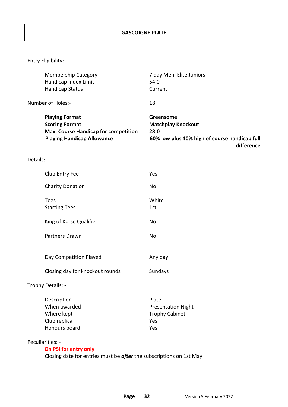|            | <b>Membership Category</b><br>Handicap Index Limit<br><b>Handicap Status</b>                                                       | 7 day Men, Elite Juniors<br>54.0<br>Current                                                                   |
|------------|------------------------------------------------------------------------------------------------------------------------------------|---------------------------------------------------------------------------------------------------------------|
|            | Number of Holes:-                                                                                                                  | 18                                                                                                            |
|            | <b>Playing Format</b><br><b>Scoring Format</b><br><b>Max. Course Handicap for competition</b><br><b>Playing Handicap Allowance</b> | Greensome<br><b>Matchplay Knockout</b><br>28.0<br>60% low plus 40% high of course handicap full<br>difference |
| Details: - |                                                                                                                                    |                                                                                                               |
|            | Club Entry Fee                                                                                                                     | Yes                                                                                                           |
|            | <b>Charity Donation</b>                                                                                                            | No                                                                                                            |
|            | <b>Tees</b><br><b>Starting Tees</b>                                                                                                | White<br>1st                                                                                                  |
|            | King of Korse Qualifier                                                                                                            | No                                                                                                            |
|            | <b>Partners Drawn</b>                                                                                                              | No                                                                                                            |
|            | Day Competition Played                                                                                                             | Any day                                                                                                       |
|            | Closing day for knockout rounds                                                                                                    | Sundays                                                                                                       |
|            | Trophy Details: -                                                                                                                  |                                                                                                               |
|            | Description<br>When awarded<br>Where kept<br>Club replica<br>Honours board                                                         | Plate<br><b>Presentation Night</b><br><b>Trophy Cabinet</b><br>Yes<br>Yes                                     |

Peculiarities: -

### **On PSI for entry only**

Closing date for entries must be *after* the subscriptions on 1st May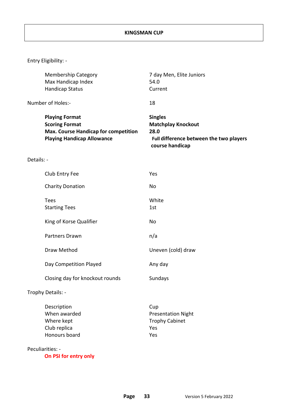| <b>Membership Category</b>                                                                                                         | 7 day Men, Elite Juniors                                                                                          |
|------------------------------------------------------------------------------------------------------------------------------------|-------------------------------------------------------------------------------------------------------------------|
| Max Handicap Index                                                                                                                 | 54.0                                                                                                              |
| Handicap Status                                                                                                                    | Current                                                                                                           |
| Number of Holes:-                                                                                                                  | 18                                                                                                                |
| <b>Playing Format</b><br><b>Scoring Format</b><br><b>Max. Course Handicap for competition</b><br><b>Playing Handicap Allowance</b> | <b>Singles</b><br><b>Matchplay Knockout</b><br>28.0<br>Full difference between the two players<br>course handicap |
| Details: -                                                                                                                         |                                                                                                                   |
| Club Entry Fee                                                                                                                     | Yes                                                                                                               |
| <b>Charity Donation</b>                                                                                                            | No                                                                                                                |
| <b>Tees</b>                                                                                                                        | White                                                                                                             |
| <b>Starting Tees</b>                                                                                                               | 1st                                                                                                               |
| King of Korse Qualifier                                                                                                            | <b>No</b>                                                                                                         |
| <b>Partners Drawn</b>                                                                                                              | n/a                                                                                                               |
| Draw Method                                                                                                                        | Uneven (cold) draw                                                                                                |
| Day Competition Played                                                                                                             | Any day                                                                                                           |
| Closing day for knockout rounds                                                                                                    | Sundays                                                                                                           |
| Trophy Details: -                                                                                                                  |                                                                                                                   |
| Description                                                                                                                        | Cup                                                                                                               |
| When awarded                                                                                                                       | <b>Presentation Night</b>                                                                                         |
| Where kept                                                                                                                         | <b>Trophy Cabinet</b>                                                                                             |
| Club replica                                                                                                                       | Yes                                                                                                               |
| Honours board                                                                                                                      | Yes                                                                                                               |
| Peculiarities: -<br><b>DCI for ontry onl</b>                                                                                       |                                                                                                                   |

 **On PSI for entry only**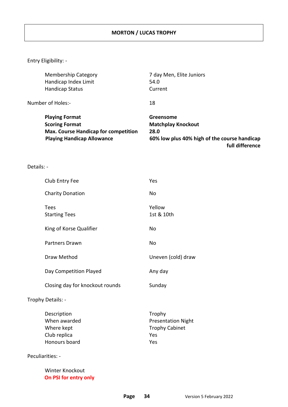| <b>Membership Category</b>                  | 7 day Men, Elite Juniors                     |
|---------------------------------------------|----------------------------------------------|
| Handicap Index Limit                        | 54.0                                         |
| <b>Handicap Status</b>                      | Current                                      |
| Number of Holes:-                           | 18                                           |
| <b>Playing Format</b>                       | Greensome                                    |
| <b>Scoring Format</b>                       | <b>Matchplay Knockout</b>                    |
| <b>Max. Course Handicap for competition</b> | 28.0                                         |
| <b>Playing Handicap Allowance</b>           | 60% low plus 40% high of the course handicap |
|                                             | full difference                              |

Details: -

| Club Entry Fee                                                             | Yes                                                                        |
|----------------------------------------------------------------------------|----------------------------------------------------------------------------|
| <b>Charity Donation</b>                                                    | <b>No</b>                                                                  |
| Tees<br><b>Starting Tees</b>                                               | Yellow<br>1st & 10th                                                       |
| King of Korse Qualifier                                                    | No                                                                         |
| <b>Partners Drawn</b>                                                      | No                                                                         |
| Draw Method                                                                | Uneven (cold) draw                                                         |
| Day Competition Played                                                     | Any day                                                                    |
| Closing day for knockout rounds                                            | Sunday                                                                     |
| Trophy Details: -                                                          |                                                                            |
| Description<br>When awarded<br>Where kept<br>Club replica<br>Honours board | Trophy<br><b>Presentation Night</b><br><b>Trophy Cabinet</b><br>Yes<br>Yes |
| Peculiarities: -                                                           |                                                                            |

Winter Knockout  **On PSI for entry only**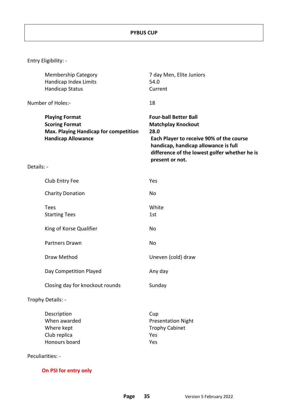|            | <b>Membership Category</b><br>Handicap Index Limits<br><b>Handicap Status</b>                                        | 7 day Men, Elite Juniors<br>54.0<br>Current                                                                                                                                                                               |
|------------|----------------------------------------------------------------------------------------------------------------------|---------------------------------------------------------------------------------------------------------------------------------------------------------------------------------------------------------------------------|
|            | Number of Holes:-                                                                                                    | 18                                                                                                                                                                                                                        |
|            | <b>Playing Format</b><br><b>Scoring Format</b><br>Max. Playing Handicap for competition<br><b>Handicap Allowance</b> | <b>Four-ball Better Ball</b><br><b>Matchplay Knockout</b><br>28.0<br>Each Player to receive 90% of the course<br>handicap, handicap allowance is full<br>difference of the lowest golfer whether he is<br>present or not. |
| Details: - |                                                                                                                      |                                                                                                                                                                                                                           |
|            | Club Entry Fee                                                                                                       | Yes                                                                                                                                                                                                                       |
|            | <b>Charity Donation</b>                                                                                              | No                                                                                                                                                                                                                        |
|            | <b>Tees</b><br><b>Starting Tees</b>                                                                                  | White<br>1st                                                                                                                                                                                                              |
|            | King of Korse Qualifier                                                                                              | No                                                                                                                                                                                                                        |
|            | Partners Drawn                                                                                                       | No                                                                                                                                                                                                                        |
|            | Draw Method                                                                                                          | Uneven (cold) draw                                                                                                                                                                                                        |
|            | Day Competition Played                                                                                               | Any day                                                                                                                                                                                                                   |
|            | Closing day for knockout rounds                                                                                      | Sunday                                                                                                                                                                                                                    |
|            | Trophy Details: -                                                                                                    |                                                                                                                                                                                                                           |
|            | Description<br>When awarded<br>Where kept<br>Club replica<br>Honours board<br>Peculiarities: -                       | Cup<br><b>Presentation Night</b><br><b>Trophy Cabinet</b><br>Yes<br>Yes                                                                                                                                                   |

 **On PSI for entry only**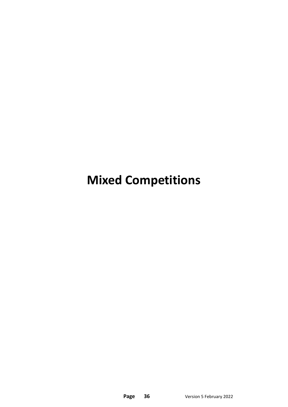**Mixed Competitions**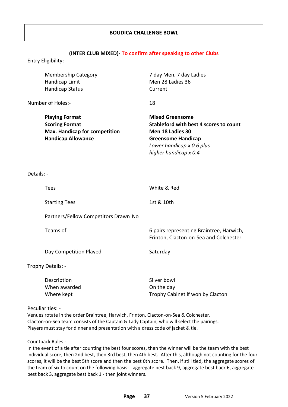#### **(INTER CLUB MIXED)- To confirm after speaking to other Clubs**

Entry Eligibility: -

| <b>Membership Category</b><br>Handicap Limit<br><b>Handicap Status</b>                                              | 7 day Men, 7 day Ladies<br>Men 28 Ladies 36<br>Current                                                                                                                  |
|---------------------------------------------------------------------------------------------------------------------|-------------------------------------------------------------------------------------------------------------------------------------------------------------------------|
| Number of Holes:-                                                                                                   | 18                                                                                                                                                                      |
| <b>Playing Format</b><br><b>Scoring Format</b><br><b>Max. Handicap for competition</b><br><b>Handicap Allowance</b> | <b>Mixed Greensome</b><br>Stableford with best 4 scores to count<br>Men 18 Ladies 30<br><b>Greensome Handicap</b><br>Lower handicap x 0.6 plus<br>higher handicap x 0.4 |
| Details: -                                                                                                          |                                                                                                                                                                         |
| <b>Tees</b>                                                                                                         | White & Red                                                                                                                                                             |
| <b>Starting Tees</b>                                                                                                | 1st & 10th                                                                                                                                                              |
| Partners/Fellow Competitors Drawn No                                                                                |                                                                                                                                                                         |
| Teams of                                                                                                            | 6 pairs representing Braintree, Harwich,<br>Frinton, Clacton-on-Sea and Colchester                                                                                      |
| Day Competition Played                                                                                              | Saturday                                                                                                                                                                |
| Trophy Details: -                                                                                                   |                                                                                                                                                                         |
| Description<br>When awarded<br>Where kept<br>Peculiarities: -                                                       | Silver bowl<br>On the day<br>Trophy Cabinet if won by Clacton                                                                                                           |

Venues rotate in the order Braintree, Harwich, Frinton, Clacton-on-Sea & Colchester. Clacton-on-Sea team consists of the Captain & Lady Captain, who will select the pairings. Players must stay for dinner and presentation with a dress code of jacket & tie.

#### Countback Rules:-

In the event of a tie after counting the best four scores, then the winner will be the team with the best individual score, then 2nd best, then 3rd best, then 4th best. After this, although not counting for the four scores, it will be the best 5th score and then the best 6th score. Then, if still tied, the aggregate scores of the team of six to count on the following basis:- aggregate best back 9, aggregate best back 6, aggregate best back 3, aggregate best back 1 - then joint winners.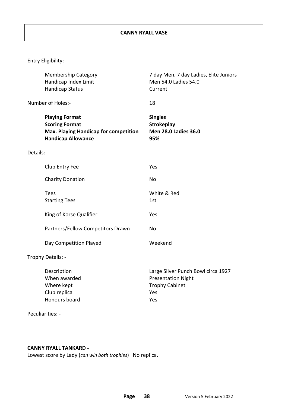|            | <b>Membership Category</b><br>Handicap Index Limit<br><b>Handicap Status</b>                                         | 7 day Men, 7 day Ladies, Elite Juniors<br>Men 54.0 Ladies 54.0<br>Current                              |
|------------|----------------------------------------------------------------------------------------------------------------------|--------------------------------------------------------------------------------------------------------|
|            | Number of Holes:-                                                                                                    | 18                                                                                                     |
|            | <b>Playing Format</b><br><b>Scoring Format</b><br>Max. Playing Handicap for competition<br><b>Handicap Allowance</b> | <b>Singles</b><br><b>Strokeplay</b><br><b>Men 28.0 Ladies 36.0</b><br>95%                              |
| Details: - |                                                                                                                      |                                                                                                        |
|            | Club Entry Fee                                                                                                       | Yes                                                                                                    |
|            | <b>Charity Donation</b>                                                                                              | No                                                                                                     |
|            | <b>Tees</b><br><b>Starting Tees</b>                                                                                  | White & Red<br>1st                                                                                     |
|            | King of Korse Qualifier                                                                                              | Yes                                                                                                    |
|            | Partners/Fellow Competitors Drawn                                                                                    | No                                                                                                     |
|            | Day Competition Played                                                                                               | Weekend                                                                                                |
|            | Trophy Details: -                                                                                                    |                                                                                                        |
|            | Description<br>When awarded<br>Where kept<br>Club replica<br>Honours board                                           | Large Silver Punch Bowl circa 1927<br><b>Presentation Night</b><br><b>Trophy Cabinet</b><br>Yes<br>Yes |

## Peculiarities: -

#### **CANNY RYALL TANKARD -**

Lowest score by Lady (*can win both trophies*) No replica.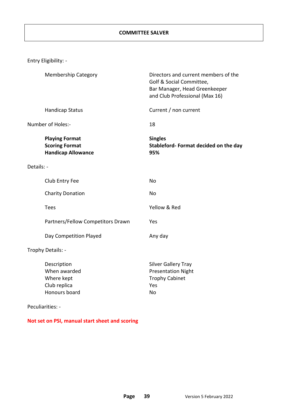|            | Entry Eligibility: -                                                        |                                                                                                                                     |
|------------|-----------------------------------------------------------------------------|-------------------------------------------------------------------------------------------------------------------------------------|
|            | <b>Membership Category</b>                                                  | Directors and current members of the<br>Golf & Social Committee,<br>Bar Manager, Head Greenkeeper<br>and Club Professional (Max 16) |
|            | <b>Handicap Status</b>                                                      | Current / non current                                                                                                               |
|            | Number of Holes:-                                                           | 18                                                                                                                                  |
|            | <b>Playing Format</b><br><b>Scoring Format</b><br><b>Handicap Allowance</b> | <b>Singles</b><br>Stableford-Format decided on the day<br>95%                                                                       |
| Details: - |                                                                             |                                                                                                                                     |
|            | Club Entry Fee                                                              | No                                                                                                                                  |
|            | <b>Charity Donation</b>                                                     | No                                                                                                                                  |
|            | <b>Tees</b>                                                                 | Yellow & Red                                                                                                                        |
|            | Partners/Fellow Competitors Drawn                                           | Yes                                                                                                                                 |
|            | Day Competition Played                                                      | Any day                                                                                                                             |
|            | Trophy Details: -                                                           |                                                                                                                                     |
|            | Description<br>When awarded<br>Where kept<br>Club replica<br>Honours board  | <b>Silver Gallery Tray</b><br><b>Presentation Night</b><br><b>Trophy Cabinet</b><br>Yes<br>No                                       |
|            | Peculiarities: -                                                            |                                                                                                                                     |

**Not set on PSI, manual start sheet and scoring**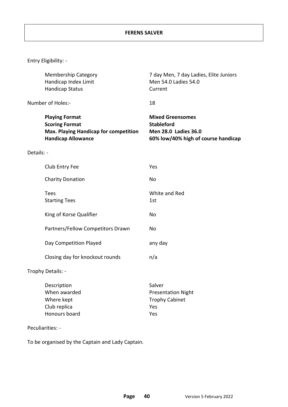|            | <b>Membership Category</b><br>Handicap Index Limit<br><b>Handicap Status</b>                                                | 7 day Men, 7 day Ladies, Elite Juniors<br>Men 54.0 Ladies 54.0<br>Current                                          |
|------------|-----------------------------------------------------------------------------------------------------------------------------|--------------------------------------------------------------------------------------------------------------------|
|            | Number of Holes:-                                                                                                           | 18                                                                                                                 |
|            | <b>Playing Format</b><br><b>Scoring Format</b><br><b>Max. Playing Handicap for competition</b><br><b>Handicap Allowance</b> | <b>Mixed Greensomes</b><br><b>Stableford</b><br><b>Men 28.0 Ladies 36.0</b><br>60% low/40% high of course handicap |
| Details: - |                                                                                                                             |                                                                                                                    |
|            | Club Entry Fee                                                                                                              | Yes                                                                                                                |
|            | <b>Charity Donation</b>                                                                                                     | <b>No</b>                                                                                                          |
|            | <b>Tees</b><br><b>Starting Tees</b>                                                                                         | White and Red<br>1st                                                                                               |
|            | King of Korse Qualifier                                                                                                     | <b>No</b>                                                                                                          |
|            | Partners/Fellow Competitors Drawn                                                                                           | <b>No</b>                                                                                                          |
|            | Day Competition Played                                                                                                      | any day                                                                                                            |
|            | Closing day for knockout rounds                                                                                             | n/a                                                                                                                |
|            | Trophy Details: -                                                                                                           |                                                                                                                    |
|            | Description<br>When awarded<br>Where kept<br>Club replica                                                                   | Salver<br><b>Presentation Night</b><br><b>Trophy Cabinet</b><br>Yes                                                |
|            | Honours board                                                                                                               | Yes                                                                                                                |

Peculiarities: -

To be organised by the Captain and Lady Captain.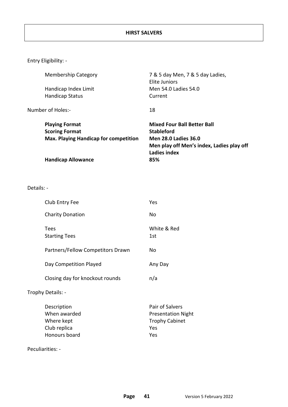| <b>Membership Category</b>                   | 7 & 5 day Men, 7 & 5 day Ladies,<br>Elite Juniors |
|----------------------------------------------|---------------------------------------------------|
| Handicap Index Limit                         | Men 54.0 Ladies 54.0                              |
| <b>Handicap Status</b>                       | Current                                           |
| Number of Holes:-                            | 18                                                |
| <b>Playing Format</b>                        | <b>Mixed Four Ball Better Ball</b>                |
| <b>Scoring Format</b>                        | <b>Stableford</b>                                 |
| <b>Max. Playing Handicap for competition</b> | <b>Men 28.0 Ladies 36.0</b>                       |
|                                              | Men play off Men's index, Ladies play off         |
|                                              | Ladies index                                      |
| <b>Handicap Allowance</b>                    | 85%                                               |
|                                              |                                                   |

Details: -

| Club Entry Fee                                                             | Yes                                                                                 |
|----------------------------------------------------------------------------|-------------------------------------------------------------------------------------|
| <b>Charity Donation</b>                                                    | No                                                                                  |
| <b>Tees</b><br><b>Starting Tees</b>                                        | White & Red<br>1st                                                                  |
| Partners/Fellow Competitors Drawn                                          | No                                                                                  |
| Day Competition Played                                                     | Any Day                                                                             |
| Closing day for knockout rounds                                            | n/a                                                                                 |
| Trophy Details: -                                                          |                                                                                     |
| Description<br>When awarded<br>Where kept<br>Club replica<br>Honours board | Pair of Salvers<br><b>Presentation Night</b><br><b>Trophy Cabinet</b><br>Yes<br>Yes |

Peculiarities: -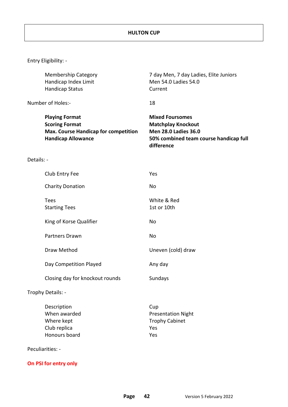|            | <b>Membership Category</b>                                                                                                 | 7 day Men, 7 day Ladies, Elite Juniors                                                                                                     |
|------------|----------------------------------------------------------------------------------------------------------------------------|--------------------------------------------------------------------------------------------------------------------------------------------|
|            | Handicap Index Limit                                                                                                       | Men 54.0 Ladies 54.0                                                                                                                       |
|            | <b>Handicap Status</b>                                                                                                     | Current                                                                                                                                    |
|            | Number of Holes:-                                                                                                          | 18                                                                                                                                         |
|            | <b>Playing Format</b><br><b>Scoring Format</b><br><b>Max. Course Handicap for competition</b><br><b>Handicap Allowance</b> | <b>Mixed Foursomes</b><br><b>Matchplay Knockout</b><br><b>Men 28.0 Ladies 36.0</b><br>50% combined team course handicap full<br>difference |
| Details: - |                                                                                                                            |                                                                                                                                            |
|            | Club Entry Fee                                                                                                             | Yes                                                                                                                                        |
|            | <b>Charity Donation</b>                                                                                                    | No                                                                                                                                         |
|            | <b>Tees</b>                                                                                                                | White & Red                                                                                                                                |
|            | <b>Starting Tees</b>                                                                                                       | 1st or 10th                                                                                                                                |
|            | King of Korse Qualifier                                                                                                    | No                                                                                                                                         |
|            | Partners Drawn                                                                                                             | No                                                                                                                                         |
|            | Draw Method                                                                                                                | Uneven (cold) draw                                                                                                                         |
|            | Day Competition Played                                                                                                     | Any day                                                                                                                                    |
|            | Closing day for knockout rounds                                                                                            | Sundays                                                                                                                                    |
|            | Trophy Details: -                                                                                                          |                                                                                                                                            |
|            | Description                                                                                                                | Cup                                                                                                                                        |
|            | When awarded                                                                                                               | <b>Presentation Night</b>                                                                                                                  |
|            | Where kept                                                                                                                 | <b>Trophy Cabinet</b>                                                                                                                      |
|            | Club replica<br>Honours board                                                                                              | Yes<br>Yes                                                                                                                                 |
|            |                                                                                                                            |                                                                                                                                            |
|            | Peculiarities: -                                                                                                           |                                                                                                                                            |

**On PSI for entry only**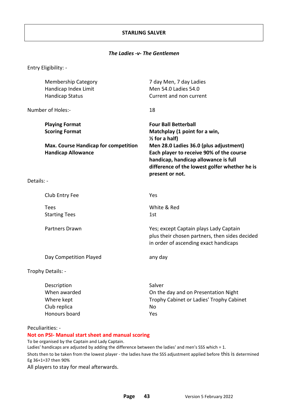#### **STARLING SALVER**

#### *The Ladies -v- The Gentlemen*

Entry Eligibility: -

|            | <b>Membership Category</b><br>Handicap Index Limit<br><b>Handicap Status</b> | 7 day Men, 7 day Ladies<br>Men 54.0 Ladies 54.0<br>Current and non current                                                                                                                     |
|------------|------------------------------------------------------------------------------|------------------------------------------------------------------------------------------------------------------------------------------------------------------------------------------------|
|            | Number of Holes:-                                                            | 18                                                                                                                                                                                             |
|            | <b>Playing Format</b><br><b>Scoring Format</b>                               | <b>Four Ball Betterball</b><br>Matchplay (1 point for a win,<br>$\frac{1}{2}$ for a half)                                                                                                      |
|            | <b>Max. Course Handicap for competition</b><br><b>Handicap Allowance</b>     | Men 28.0 Ladies 36.0 (plus adjustment)<br>Each player to receive 90% of the course<br>handicap, handicap allowance is full<br>difference of the lowest golfer whether he is<br>present or not. |
| Details: - |                                                                              |                                                                                                                                                                                                |
|            | Club Entry Fee                                                               | Yes                                                                                                                                                                                            |
|            | <b>Tees</b><br><b>Starting Tees</b>                                          | White & Red<br>1st                                                                                                                                                                             |
|            | <b>Partners Drawn</b>                                                        | Yes; except Captain plays Lady Captain<br>plus their chosen partners, then sides decided<br>in order of ascending exact handicaps                                                              |
|            | Day Competition Played                                                       | any day                                                                                                                                                                                        |
|            | Trophy Details: -                                                            |                                                                                                                                                                                                |
|            | Description<br>When awarded<br>Where kept<br>Club replica<br>Honours board   | Salver<br>On the day and on Presentation Night<br>Trophy Cabinet or Ladies' Trophy Cabinet<br>No<br>Yes                                                                                        |

Peculiarities: -

**Not on PSI- Manual start sheet and manual scoring**

To be organised by the Captain and Lady Captain.

Ladies' handicaps are adjusted by adding the difference between the ladies' and men's SSS which = 1. Shots then to be taken from the lowest player - the ladies have the SSS adjustment applied before this is determined Eg 36+1=37 then 90%

All players to stay for meal afterwards.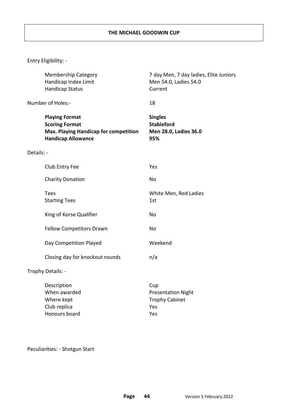|            | <b>Membership Category</b><br>Handicap Index Limit<br><b>Handicap Status</b>                                         | 7 day Men, 7 day ladies, Elite Juniors<br>Men 54.0, Ladies 54.0<br>Current |
|------------|----------------------------------------------------------------------------------------------------------------------|----------------------------------------------------------------------------|
|            | Number of Holes:-                                                                                                    | 18                                                                         |
|            | <b>Playing Format</b><br><b>Scoring Format</b><br>Max. Playing Handicap for competition<br><b>Handicap Allowance</b> | <b>Singles</b><br><b>Stableford</b><br>Men 28.0, Ladies 36.0<br>95%        |
| Details: - |                                                                                                                      |                                                                            |
|            | Club Entry Fee                                                                                                       | Yes                                                                        |
|            | <b>Charity Donation</b>                                                                                              | <b>No</b>                                                                  |
|            | <b>Tees</b><br><b>Starting Tees</b>                                                                                  | White Men, Red Ladies<br>1st                                               |
|            | King of Korse Qualifier                                                                                              | <b>No</b>                                                                  |
|            | <b>Fellow Competitors Drawn</b>                                                                                      | No                                                                         |
|            | Day Competition Played                                                                                               | Weekend                                                                    |
|            | Closing day for knockout rounds                                                                                      | n/a                                                                        |
|            | Trophy Details: -                                                                                                    |                                                                            |
|            | Description<br>When awarded<br>Where kept<br>Club replica                                                            | Cup<br><b>Presentation Night</b><br><b>Trophy Cabinet</b><br>Yes           |

Peculiarities: - Shotgun Start

Honours board Yes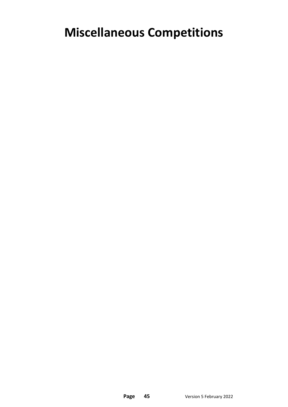## **Miscellaneous Competitions**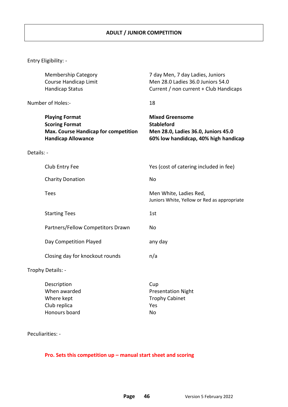|            | <b>Membership Category</b><br>Course Handicap Limit<br><b>Handicap Status</b>                                       | 7 day Men, 7 day Ladies, Juniors<br>Men 28.0 Ladies 36.0 Juniors 54.0<br>Current / non current + Club Handicaps            |
|------------|---------------------------------------------------------------------------------------------------------------------|----------------------------------------------------------------------------------------------------------------------------|
|            | Number of Holes:-                                                                                                   | 18                                                                                                                         |
|            | <b>Playing Format</b><br><b>Scoring Format</b><br>Max. Course Handicap for competition<br><b>Handicap Allowance</b> | <b>Mixed Greensome</b><br><b>Stableford</b><br>Men 28.0, Ladies 36.0, Juniors 45.0<br>60% low handidcap, 40% high handicap |
| Details: - |                                                                                                                     |                                                                                                                            |
|            | Club Entry Fee                                                                                                      | Yes (cost of catering included in fee)                                                                                     |
|            | <b>Charity Donation</b>                                                                                             | <b>No</b>                                                                                                                  |
|            | <b>Tees</b>                                                                                                         | Men White, Ladies Red,<br>Juniors White, Yellow or Red as appropriate                                                      |
|            | <b>Starting Tees</b>                                                                                                | 1st                                                                                                                        |
|            | Partners/Fellow Competitors Drawn                                                                                   | <b>No</b>                                                                                                                  |
|            | Day Competition Played                                                                                              | any day                                                                                                                    |
|            | Closing day for knockout rounds                                                                                     | n/a                                                                                                                        |
|            | Trophy Details: -                                                                                                   |                                                                                                                            |
|            | Description<br>When awarded<br>Where kept<br>Club replica<br>Honours board                                          | Cup<br><b>Presentation Night</b><br><b>Trophy Cabinet</b><br>Yes<br><b>No</b>                                              |

Peculiarities: -

#### **Pro. Sets this competition up – manual start sheet and scoring**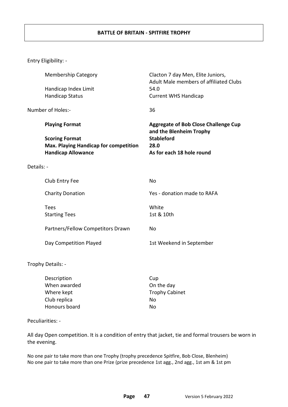#### **BATTLE OF BRITAIN - SPITFIRE TROPHY**

Entry Eligibility: -

|            | <b>Membership Category</b>                   | Clacton 7 day Men, Elite Juniors,<br>Adult Male members of affiliated Clubs |
|------------|----------------------------------------------|-----------------------------------------------------------------------------|
|            | Handicap Index Limit                         | 54.0                                                                        |
|            | <b>Handicap Status</b>                       | <b>Current WHS Handicap</b>                                                 |
|            | Number of Holes:-                            | 36                                                                          |
|            | <b>Playing Format</b>                        | <b>Aggregate of Bob Close Challenge Cup</b><br>and the Blenheim Trophy      |
|            | <b>Scoring Format</b>                        | <b>Stableford</b>                                                           |
|            | <b>Max. Playing Handicap for competition</b> | 28.0                                                                        |
|            | <b>Handicap Allowance</b>                    | As for each 18 hole round                                                   |
| Details: - |                                              |                                                                             |
|            | Club Entry Fee                               | No                                                                          |
|            | <b>Charity Donation</b>                      | Yes - donation made to RAFA                                                 |
|            | <b>Tees</b>                                  | White                                                                       |
|            | <b>Starting Tees</b>                         | 1st & 10th                                                                  |
|            | Partners/Fellow Competitors Drawn            | <b>No</b>                                                                   |
|            | Day Competition Played                       | 1st Weekend in September                                                    |
|            | Trophy Details: -                            |                                                                             |
|            | Description                                  | Cup                                                                         |
|            | When awarded                                 | On the day                                                                  |
|            | Where kept                                   | <b>Trophy Cabinet</b>                                                       |
|            | Club replica                                 | No                                                                          |

#### Peculiarities: -

All day Open competition. It is a condition of entry that jacket, tie and formal trousers be worn in the evening.

No one pair to take more than one Trophy (trophy precedence Spitfire, Bob Close, Blenheim) No one pair to take more than one Prize (prize precedence 1st agg., 2nd agg., 1st am & 1st pm

Honours board No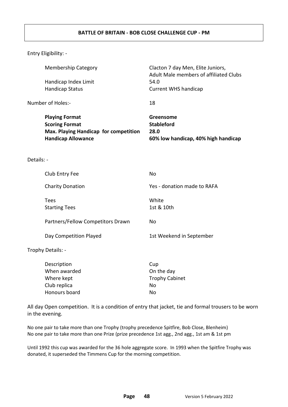#### **BATTLE OF BRITAIN - BOB CLOSE CHALLENGE CUP - PM**

Entry Eligibility: -

|            | <b>Membership Category</b>                     | Clacton 7 day Men, Elite Juniors,<br>Adult Male members of affiliated Clubs<br>54.0 |
|------------|------------------------------------------------|-------------------------------------------------------------------------------------|
|            | Handicap Index Limit<br><b>Handicap Status</b> | <b>Current WHS handicap</b>                                                         |
|            |                                                |                                                                                     |
|            | Number of Holes:-                              | 18                                                                                  |
|            | <b>Playing Format</b>                          | Greensome                                                                           |
|            | <b>Scoring Format</b>                          | <b>Stableford</b>                                                                   |
|            | Max. Playing Handicap for competition          | 28.0                                                                                |
|            | <b>Handicap Allowance</b>                      | 60% low handicap, 40% high handicap                                                 |
|            |                                                |                                                                                     |
| Details: - |                                                |                                                                                     |
|            | Club Entry Fee                                 | <b>No</b>                                                                           |
|            | <b>Charity Donation</b>                        | Yes - donation made to RAFA                                                         |
|            | <b>Tees</b>                                    | White                                                                               |
|            | <b>Starting Tees</b>                           | 1st & 10th                                                                          |
|            |                                                |                                                                                     |
|            | Partners/Fellow Competitors Drawn              | <b>No</b>                                                                           |
|            | Day Competition Played                         | 1st Weekend in September                                                            |
|            | Trophy Details: -                              |                                                                                     |
|            | Description                                    | Cup                                                                                 |
|            | When awarded                                   | On the day                                                                          |
|            | Where kept                                     | <b>Trophy Cabinet</b>                                                               |
|            | Club replica                                   | No                                                                                  |
|            | Honours board                                  | <b>No</b>                                                                           |
|            |                                                |                                                                                     |

All day Open competition. It is a condition of entry that jacket, tie and formal trousers to be worn in the evening.

No one pair to take more than one Trophy (trophy precedence Spitfire, Bob Close, Blenheim) No one pair to take more than one Prize (prize precedence 1st agg., 2nd agg., 1st am & 1st pm

Until 1992 this cup was awarded for the 36 hole aggregate score. In 1993 when the Spitfire Trophy was donated, it superseded the Timmens Cup for the morning competition.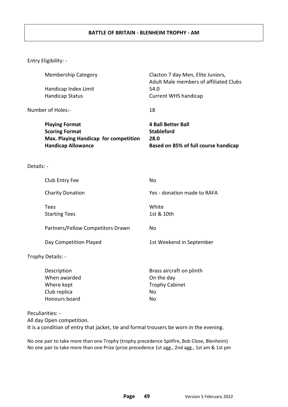#### **BATTLE OF BRITAIN - BLENHEIM TROPHY - AM**

Entry Eligibility: -

|            | <b>Membership Category</b>                                                                                           | Clacton 7 day Men, Elite Juniors,<br>Adult Male members of affiliated Clubs                    |
|------------|----------------------------------------------------------------------------------------------------------------------|------------------------------------------------------------------------------------------------|
|            | Handicap Index Limit                                                                                                 | 54.0                                                                                           |
|            | <b>Handicap Status</b>                                                                                               | <b>Current WHS handicap</b>                                                                    |
|            | Number of Holes:-                                                                                                    | 18                                                                                             |
|            | <b>Playing Format</b><br><b>Scoring Format</b><br>Max. Playing Handicap for competition<br><b>Handicap Allowance</b> | <b>4 Ball Better Ball</b><br><b>Stableford</b><br>28.0<br>Based on 85% of full course handicap |
| Details: - |                                                                                                                      |                                                                                                |
|            | Club Entry Fee                                                                                                       | <b>No</b>                                                                                      |
|            | <b>Charity Donation</b>                                                                                              | Yes - donation made to RAFA                                                                    |
|            | <b>Tees</b><br><b>Starting Tees</b>                                                                                  | White<br>1st & 10th                                                                            |
|            | Partners/Fellow Competitors Drawn                                                                                    | <b>No</b>                                                                                      |
|            | Day Competition Played                                                                                               | 1st Weekend in September                                                                       |
|            | Trophy Details: -                                                                                                    |                                                                                                |
|            | Description<br>When awarded<br>Where kept<br>Club replica<br>Honours board                                           | Brass aircraft on plinth<br>On the day<br><b>Trophy Cabinet</b><br>No<br>No                    |
|            | Peculiarities: -                                                                                                     |                                                                                                |
|            | All day Open competition.                                                                                            |                                                                                                |

It is a condition of entry that jacket, tie and formal trousers be worn in the evening.

No one pair to take more than one Trophy (trophy precedence Spitfire, Bob Close, Blenheim) No one pair to take more than one Prize (prize precedence 1st agg., 2nd agg., 1st am & 1st pm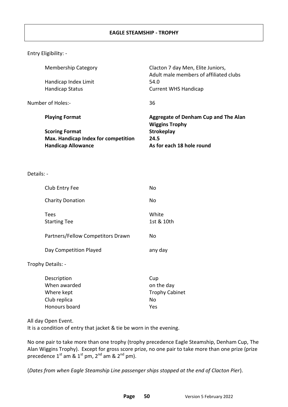| <b>Membership Category</b>                 | Clacton 7 day Men, Elite Juniors,<br>Adult male members of affiliated clubs |
|--------------------------------------------|-----------------------------------------------------------------------------|
| Handicap Index Limit                       | 54.0                                                                        |
| <b>Handicap Status</b>                     | <b>Current WHS Handicap</b>                                                 |
| Number of Holes:-                          | 36                                                                          |
| <b>Playing Format</b>                      | Aggregate of Denham Cup and The Alan<br><b>Wiggins Trophy</b>               |
| <b>Scoring Format</b>                      | <b>Strokeplay</b>                                                           |
| <b>Max. Handicap Index for competition</b> | 24.5                                                                        |
| <b>Handicap Allowance</b>                  | As for each 18 hole round                                                   |
|                                            |                                                                             |
|                                            |                                                                             |

Details: -

| Club Entry Fee                    | No                  |
|-----------------------------------|---------------------|
| <b>Charity Donation</b>           | No                  |
| Tees<br><b>Starting Tee</b>       | White<br>1st & 10th |
| Partners/Fellow Competitors Drawn | No                  |
| Day Competition Played            | any day             |
| Trophy Details: -                 |                     |

| Description   | Cup                   |
|---------------|-----------------------|
| When awarded  | on the day            |
| Where kept    | <b>Trophy Cabinet</b> |
| Club replica  | Nο                    |
| Honours board | Yes                   |

All day Open Event.

It is a condition of entry that jacket & tie be worn in the evening.

No one pair to take more than one trophy (trophy precedence Eagle Steamship, Denham Cup, The Alan Wiggins Trophy). Except for gross score prize, no one pair to take more than one prize (prize precedence  $1^{\text{st}}$  am &  $1^{\text{st}}$  pm,  $2^{\text{nd}}$  am &  $2^{\text{nd}}$  pm).

(*Dates from when Eagle Steamship Line passenger ships stopped at the end of Clacton Pier*).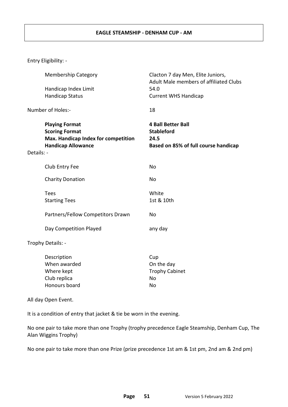#### **EAGLE STEAMSHIP - DENHAM CUP - AM**

Entry Eligibility: -

|            | <b>Membership Category</b>                                                                                         | Clacton 7 day Men, Elite Juniors,<br>Adult Male members of affiliated Clubs                    |
|------------|--------------------------------------------------------------------------------------------------------------------|------------------------------------------------------------------------------------------------|
|            | Handicap Index Limit                                                                                               | 54.0                                                                                           |
|            | <b>Handicap Status</b>                                                                                             | <b>Current WHS Handicap</b>                                                                    |
|            | Number of Holes:-                                                                                                  | 18                                                                                             |
| Details: - | <b>Playing Format</b><br><b>Scoring Format</b><br>Max. Handicap Index for competition<br><b>Handicap Allowance</b> | <b>4 Ball Better Ball</b><br><b>Stableford</b><br>24.5<br>Based on 85% of full course handicap |
|            | Club Entry Fee                                                                                                     | No                                                                                             |
|            | <b>Charity Donation</b>                                                                                            | <b>No</b>                                                                                      |
|            | <b>Tees</b>                                                                                                        | White                                                                                          |
|            | <b>Starting Tees</b>                                                                                               | 1st & 10th                                                                                     |
|            | Partners/Fellow Competitors Drawn                                                                                  | No                                                                                             |
|            | Day Competition Played                                                                                             | any day                                                                                        |
|            | Trophy Details: -                                                                                                  |                                                                                                |
|            | Description                                                                                                        | Cup                                                                                            |
|            | When awarded                                                                                                       | On the day                                                                                     |
|            | Where kept                                                                                                         | <b>Trophy Cabinet</b>                                                                          |
|            | Club replica                                                                                                       | No                                                                                             |

All day Open Event.

It is a condition of entry that jacket & tie be worn in the evening.

Honours board No

No one pair to take more than one Trophy (trophy precedence Eagle Steamship, Denham Cup, The Alan Wiggins Trophy)

No one pair to take more than one Prize (prize precedence 1st am & 1st pm, 2nd am & 2nd pm)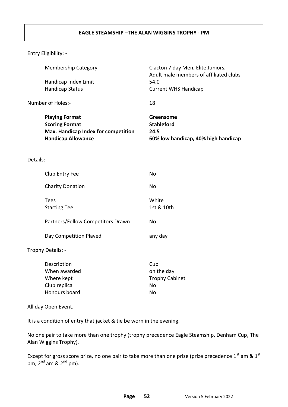#### **EAGLE STEAMSHIP –THE ALAN WIGGINS TROPHY - PM**

Entry Eligibility: -

|            | <b>Membership Category</b><br>Handicap Index Limit<br><b>Handicap Status</b>                                       | Clacton 7 day Men, Elite Juniors,<br>Adult male members of affiliated clubs<br>54.0<br><b>Current WHS Handicap</b> |
|------------|--------------------------------------------------------------------------------------------------------------------|--------------------------------------------------------------------------------------------------------------------|
|            | Number of Holes:-                                                                                                  | 18                                                                                                                 |
|            | <b>Playing Format</b><br><b>Scoring Format</b><br>Max. Handicap Index for competition<br><b>Handicap Allowance</b> | Greensome<br><b>Stableford</b><br>24.5<br>60% low handicap, 40% high handicap                                      |
| Details: - |                                                                                                                    |                                                                                                                    |
|            | Club Entry Fee                                                                                                     | <b>No</b>                                                                                                          |
|            | <b>Charity Donation</b>                                                                                            | No                                                                                                                 |
|            | <b>Tees</b><br><b>Starting Tee</b>                                                                                 | White<br>1st & 10th                                                                                                |
|            | Partners/Fellow Competitors Drawn                                                                                  | <b>No</b>                                                                                                          |
|            | Day Competition Played                                                                                             | any day                                                                                                            |
|            | Trophy Details: -                                                                                                  |                                                                                                                    |
|            | Description<br>Mhon awardod                                                                                        | Cup<br>on tho day                                                                                                  |

| When awarded  | on the day            |
|---------------|-----------------------|
| Where kept    | <b>Trophy Cabinet</b> |
| Club replica  | Nο                    |
| Honours board | N٥                    |

All day Open Event.

It is a condition of entry that jacket & tie be worn in the evening.

No one pair to take more than one trophy (trophy precedence Eagle Steamship, Denham Cup, The Alan Wiggins Trophy).

Except for gross score prize, no one pair to take more than one prize (prize precedence  $1^{st}$  am &  $1^{st}$ pm,  $2<sup>nd</sup>$  am &  $2<sup>nd</sup>$  pm).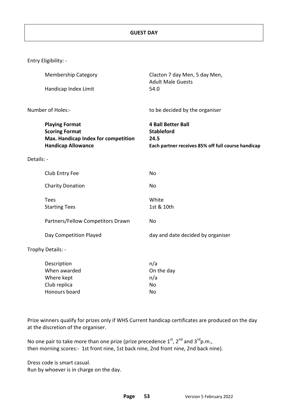|            | Entry Eligibility: -                                                                                               |                                                                                                              |
|------------|--------------------------------------------------------------------------------------------------------------------|--------------------------------------------------------------------------------------------------------------|
|            | <b>Membership Category</b>                                                                                         | Clacton 7 day Men, 5 day Men,                                                                                |
|            | Handicap Index Limit                                                                                               | <b>Adult Male Guests</b><br>54.0                                                                             |
|            | Number of Holes:-                                                                                                  | to be decided by the organiser                                                                               |
|            | <b>Playing Format</b><br><b>Scoring Format</b><br>Max. Handicap Index for competition<br><b>Handicap Allowance</b> | <b>4 Ball Better Ball</b><br><b>Stableford</b><br>24.5<br>Each partner receives 85% off full course handicap |
| Details: - |                                                                                                                    |                                                                                                              |
|            | Club Entry Fee                                                                                                     | <b>No</b>                                                                                                    |
|            | <b>Charity Donation</b>                                                                                            | No                                                                                                           |
|            | <b>Tees</b><br><b>Starting Tees</b>                                                                                | White<br>1st & 10th                                                                                          |
|            | Partners/Fellow Competitors Drawn                                                                                  | No                                                                                                           |
|            | Day Competition Played                                                                                             | day and date decided by organiser                                                                            |
|            | Trophy Details: -                                                                                                  |                                                                                                              |
|            | Description<br>When awarded<br>Where kept<br>Club replica<br>Honours board                                         | n/a<br>On the day<br>n/a<br><b>No</b><br><b>No</b>                                                           |

Prize winners qualify for prizes only if WHS Current handicap certificates are produced on the day at the discretion of the organiser.

No one pair to take more than one prize (prize precedence  $1^{st}$ ,  $2^{nd}$  and  $3^{rd}$ p.m., then morning scores:- 1st front nine, 1st back nine, 2nd front nine, 2nd back nine).

Dress code is smart casual. Run by whoever is in charge on the day.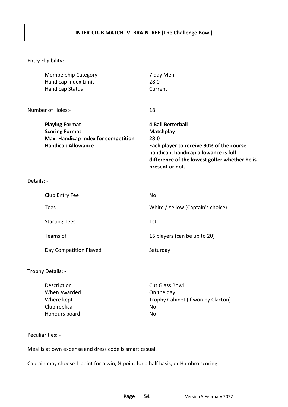|            | <b>Membership Category</b><br>Handicap Index Limit<br><b>Handicap Status</b>                                       | 7 day Men<br>28.0<br>Current                                                                                                                                                                                 |
|------------|--------------------------------------------------------------------------------------------------------------------|--------------------------------------------------------------------------------------------------------------------------------------------------------------------------------------------------------------|
|            | Number of Holes:-                                                                                                  | 18                                                                                                                                                                                                           |
|            | <b>Playing Format</b><br><b>Scoring Format</b><br>Max. Handicap Index for competition<br><b>Handicap Allowance</b> | <b>4 Ball Betterball</b><br><b>Matchplay</b><br>28.0<br>Each player to receive 90% of the course<br>handicap, handicap allowance is full<br>difference of the lowest golfer whether he is<br>present or not. |
| Details: - |                                                                                                                    |                                                                                                                                                                                                              |
|            | Club Entry Fee                                                                                                     | <b>No</b>                                                                                                                                                                                                    |
|            | <b>Tees</b>                                                                                                        | White / Yellow (Captain's choice)                                                                                                                                                                            |
|            | <b>Starting Tees</b>                                                                                               | 1st                                                                                                                                                                                                          |
|            | Teams of                                                                                                           | 16 players (can be up to 20)                                                                                                                                                                                 |
|            | Day Competition Played                                                                                             | Saturday                                                                                                                                                                                                     |
|            | Trophy Details: -                                                                                                  |                                                                                                                                                                                                              |
|            | Description<br>When awarded                                                                                        | <b>Cut Glass Bowl</b><br>On the day                                                                                                                                                                          |

Club replica No Honours board No

Where kept **Trophy Cabinet (if won by Clacton)** 

Peculiarities: -

Meal is at own expense and dress code is smart casual.

Captain may choose 1 point for a win, ½ point for a half basis, or Hambro scoring.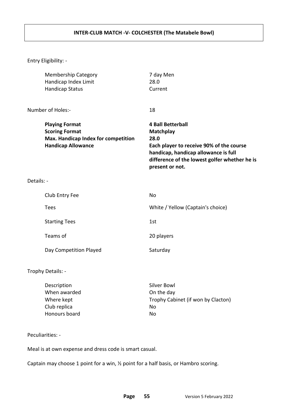#### **INTER-CLUB MATCH -V- COLCHESTER (The Matabele Bowl)**

Entry Eligibility: -

|            | <b>Membership Category</b><br>Handicap Index Limit<br><b>Handicap Status</b>                                       | 7 day Men<br>28.0<br>Current                                                                                                                                                                                 |
|------------|--------------------------------------------------------------------------------------------------------------------|--------------------------------------------------------------------------------------------------------------------------------------------------------------------------------------------------------------|
|            | Number of Holes:-                                                                                                  | 18                                                                                                                                                                                                           |
|            | <b>Playing Format</b><br><b>Scoring Format</b><br>Max. Handicap Index for competition<br><b>Handicap Allowance</b> | <b>4 Ball Betterball</b><br><b>Matchplay</b><br>28.0<br>Each player to receive 90% of the course<br>handicap, handicap allowance is full<br>difference of the lowest golfer whether he is<br>present or not. |
| Details: - |                                                                                                                    |                                                                                                                                                                                                              |
|            | Club Entry Fee                                                                                                     | No                                                                                                                                                                                                           |
|            | <b>Tees</b>                                                                                                        | White / Yellow (Captain's choice)                                                                                                                                                                            |
|            | <b>Starting Tees</b>                                                                                               | 1st                                                                                                                                                                                                          |
|            | Teams of                                                                                                           | 20 players                                                                                                                                                                                                   |
|            | Day Competition Played                                                                                             | Saturday                                                                                                                                                                                                     |
|            | Trophy Details: -                                                                                                  |                                                                                                                                                                                                              |
|            | Description<br>When awarded                                                                                        | <b>Silver Bowl</b><br>On the day                                                                                                                                                                             |

Club replica No Honours board No

Where kept **Trophy Cabinet (if won by Clacton)** 

Peculiarities: -

Meal is at own expense and dress code is smart casual.

Captain may choose 1 point for a win, ½ point for a half basis, or Hambro scoring.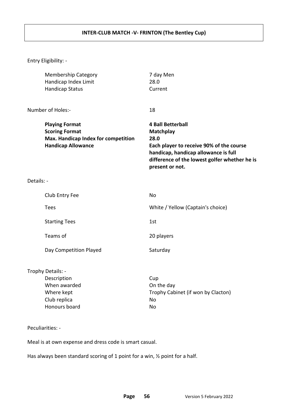#### **INTER-CLUB MATCH -V- FRINTON (The Bentley Cup)**

Entry Eligibility: -

|            | <b>Membership Category</b><br>Handicap Index Limit<br><b>Handicap Status</b>                                       | 7 day Men<br>28.0<br>Current                                                                                                                                                                                 |
|------------|--------------------------------------------------------------------------------------------------------------------|--------------------------------------------------------------------------------------------------------------------------------------------------------------------------------------------------------------|
|            | Number of Holes:-                                                                                                  | 18                                                                                                                                                                                                           |
|            | <b>Playing Format</b><br><b>Scoring Format</b><br>Max. Handicap Index for competition<br><b>Handicap Allowance</b> | <b>4 Ball Betterball</b><br><b>Matchplay</b><br>28.0<br>Each player to receive 90% of the course<br>handicap, handicap allowance is full<br>difference of the lowest golfer whether he is<br>present or not. |
| Details: - |                                                                                                                    |                                                                                                                                                                                                              |
|            | Club Entry Fee                                                                                                     | No                                                                                                                                                                                                           |
|            | <b>Tees</b>                                                                                                        | White / Yellow (Captain's choice)                                                                                                                                                                            |
|            | <b>Starting Tees</b>                                                                                               | 1st                                                                                                                                                                                                          |
|            | Teams of                                                                                                           | 20 players                                                                                                                                                                                                   |
|            | Day Competition Played                                                                                             | Saturday                                                                                                                                                                                                     |
|            | Trophy Details: -<br>Description<br>When awarded<br>Where kept<br>Club replica<br>Honours board                    | Cup<br>On the day<br>Trophy Cabinet (if won by Clacton)<br>No<br>No                                                                                                                                          |
|            | Peculiarities: -                                                                                                   |                                                                                                                                                                                                              |

Meal is at own expense and dress code is smart casual.

Has always been standard scoring of 1 point for a win,  $\frac{1}{2}$  point for a half.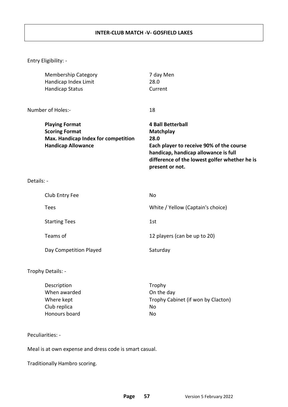#### **INTER-CLUB MATCH -V- GOSFIELD LAKES**

Entry Eligibility: -

|            | <b>Membership Category</b><br>Handicap Index Limit<br><b>Handicap Status</b>                                       | 7 day Men<br>28.0<br>Current                                                                                                                                                                                 |
|------------|--------------------------------------------------------------------------------------------------------------------|--------------------------------------------------------------------------------------------------------------------------------------------------------------------------------------------------------------|
|            | Number of Holes:-                                                                                                  | 18                                                                                                                                                                                                           |
|            | <b>Playing Format</b><br><b>Scoring Format</b><br>Max. Handicap Index for competition<br><b>Handicap Allowance</b> | <b>4 Ball Betterball</b><br><b>Matchplay</b><br>28.0<br>Each player to receive 90% of the course<br>handicap, handicap allowance is full<br>difference of the lowest golfer whether he is<br>present or not. |
| Details: - |                                                                                                                    |                                                                                                                                                                                                              |
|            | Club Entry Fee                                                                                                     | <b>No</b>                                                                                                                                                                                                    |
|            | Tees                                                                                                               | White / Yellow (Captain's choice)                                                                                                                                                                            |
|            | <b>Starting Tees</b>                                                                                               | 1st                                                                                                                                                                                                          |
|            | Teams of                                                                                                           | 12 players (can be up to 20)                                                                                                                                                                                 |
|            | Day Competition Played                                                                                             | Saturday                                                                                                                                                                                                     |
|            | Trophy Details: -                                                                                                  |                                                                                                                                                                                                              |
|            | Description<br>When awarded<br>Where kept<br>Club replica                                                          | Trophy<br>On the day<br>Trophy Cabinet (if won by Clacton)<br>No                                                                                                                                             |

#### Peculiarities: -

Meal is at own expense and dress code is smart casual.

Honours board No

Traditionally Hambro scoring.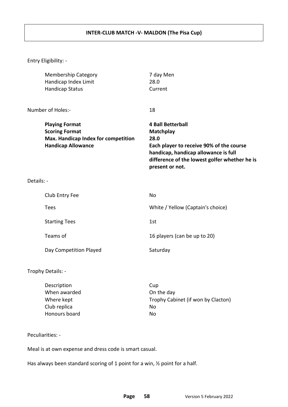#### **INTER-CLUB MATCH -V- MALDON (The Pisa Cup)**

Entry Eligibility: -

|            | <b>Membership Category</b><br>Handicap Index Limit<br><b>Handicap Status</b>                                       | 7 day Men<br>28.0<br>Current                                                                                                                                                                                 |
|------------|--------------------------------------------------------------------------------------------------------------------|--------------------------------------------------------------------------------------------------------------------------------------------------------------------------------------------------------------|
|            | Number of Holes:-                                                                                                  | 18                                                                                                                                                                                                           |
|            | <b>Playing Format</b><br><b>Scoring Format</b><br>Max. Handicap Index for competition<br><b>Handicap Allowance</b> | <b>4 Ball Betterball</b><br><b>Matchplay</b><br>28.0<br>Each player to receive 90% of the course<br>handicap, handicap allowance is full<br>difference of the lowest golfer whether he is<br>present or not. |
| Details: - |                                                                                                                    |                                                                                                                                                                                                              |
|            | Club Entry Fee                                                                                                     | No                                                                                                                                                                                                           |
|            | Tees                                                                                                               | White / Yellow (Captain's choice)                                                                                                                                                                            |
|            | <b>Starting Tees</b>                                                                                               | 1st                                                                                                                                                                                                          |
|            | Teams of                                                                                                           | 16 players (can be up to 20)                                                                                                                                                                                 |
|            | Day Competition Played                                                                                             | Saturday                                                                                                                                                                                                     |

Trophy Details: -

| Description   | Cup                                |
|---------------|------------------------------------|
| When awarded  | On the day                         |
| Where kept    | Trophy Cabinet (if won by Clacton) |
| Club replica  | Nο                                 |
| Honours board | No                                 |

Peculiarities: -

Meal is at own expense and dress code is smart casual.

Has always been standard scoring of 1 point for a win,  $\frac{1}{2}$  point for a half.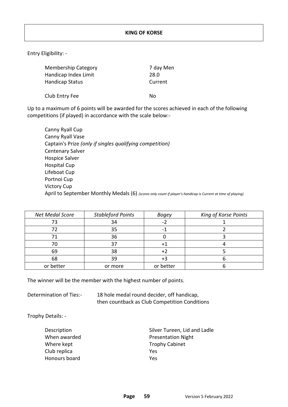| <b>Membership Category</b> | 7 day Men |
|----------------------------|-----------|
| Handicap Index Limit       | 28.0      |
| <b>Handicap Status</b>     | Current   |
| Club Entry Fee             | N٥        |

Up to a maximum of 6 points will be awarded for the scores achieved in each of the following competitions (if played) in accordance with the scale below:-

Canny Ryall Cup Canny Ryall Vase Captain's Prize *(only if singles qualifying competition)* Centenary Salver Hospice Salver Hospital Cup Lifeboat Cup Portnoi Cup Victory Cup April to September Monthly Medals (6) *(scores only count if player's handicap is Current at time of playing)* 

| <b>Net Medal Score</b> | <b>Stableford Points</b> | <b>Bogey</b> | King of Korse Points |
|------------------------|--------------------------|--------------|----------------------|
|                        | 34                       |              |                      |
|                        | 35                       |              |                      |
|                        | 36                       |              |                      |
|                        | 37                       |              |                      |
| 69                     | 38                       | +2           |                      |
| 68                     | 39                       | +3           |                      |
| or better              | or more                  | or better    |                      |
|                        |                          |              |                      |

The winner will be the member with the highest number of points.

Determination of Ties:- 18 hole medal round decider, off handicap, then countback as Club Competition Conditions

Trophy Details: -

Where kept Trophy Cabinet Club replica Yes Honours board Yes

Description **Silver Tureen**, Lid and Ladle When awarded **All Accords** Presentation Night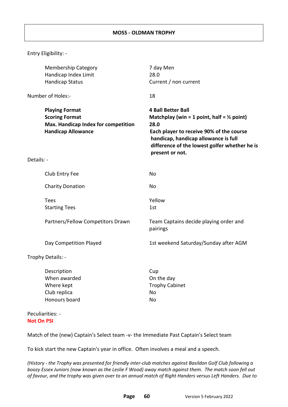|            | <b>Membership Category</b><br>Handicap Index Limit                                                                 | 7 day Men<br>28.0                                                                                                                                                                                                                                  |
|------------|--------------------------------------------------------------------------------------------------------------------|----------------------------------------------------------------------------------------------------------------------------------------------------------------------------------------------------------------------------------------------------|
|            | <b>Handicap Status</b>                                                                                             | Current / non current                                                                                                                                                                                                                              |
|            | Number of Holes:-                                                                                                  | 18                                                                                                                                                                                                                                                 |
|            | <b>Playing Format</b><br><b>Scoring Format</b><br>Max. Handicap Index for competition<br><b>Handicap Allowance</b> | <b>4 Ball Better Ball</b><br>Matchplay (win = 1 point, half = $\frac{1}{2}$ point)<br>28.0<br>Each player to receive 90% of the course<br>handicap, handicap allowance is full<br>difference of the lowest golfer whether he is<br>present or not. |
| Details: - |                                                                                                                    |                                                                                                                                                                                                                                                    |
|            | Club Entry Fee                                                                                                     | <b>No</b>                                                                                                                                                                                                                                          |
|            | <b>Charity Donation</b>                                                                                            | No                                                                                                                                                                                                                                                 |
|            | Tees<br><b>Starting Tees</b>                                                                                       | Yellow<br>1st                                                                                                                                                                                                                                      |
|            | Partners/Fellow Competitors Drawn                                                                                  | Team Captains decide playing order and<br>pairings                                                                                                                                                                                                 |
|            | Day Competition Played                                                                                             | 1st weekend Saturday/Sunday after AGM                                                                                                                                                                                                              |
|            | Trophy Details: -                                                                                                  |                                                                                                                                                                                                                                                    |
|            | Description<br>When awarded<br>Where kept<br>Club replica<br>Honours board                                         | Cup<br>On the day<br><b>Trophy Cabinet</b><br>No<br>No                                                                                                                                                                                             |
|            | Peculiarities: -                                                                                                   |                                                                                                                                                                                                                                                    |

#### **Not On PSI**

Match of the (new) Captain's Select team -v- the Immediate Past Captain's Select team

To kick start the new Captain's year in office. Often involves a meal and a speech.

*(History - the Trophy was presented for friendly inter-club matches against Basildon Golf Club following a boozy Essex Juniors (now known as the Leslie F Wood) away match against them. The match soon fell out of favour, and the trophy was given over to an annual match of Right Handers versus Left Handers. Due to*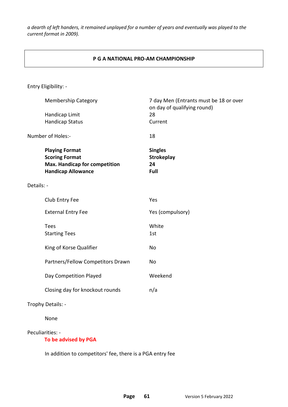*a dearth of left handers, it remained unplayed for a number of years and eventually was played to the current format in 2009).* 

#### **P G A NATIONAL PRO-AM CHAMPIONSHIP**

Entry Eligibility: -

|            | <b>Membership Category</b>                                                                                          | 7 day Men (Entrants must be 18 or over<br>on day of qualifying round) |
|------------|---------------------------------------------------------------------------------------------------------------------|-----------------------------------------------------------------------|
|            | Handicap Limit                                                                                                      | 28                                                                    |
|            | <b>Handicap Status</b>                                                                                              | Current                                                               |
|            | Number of Holes:-                                                                                                   | 18                                                                    |
|            | <b>Playing Format</b><br><b>Scoring Format</b><br><b>Max. Handicap for competition</b><br><b>Handicap Allowance</b> | <b>Singles</b><br><b>Strokeplay</b><br>24<br>Full                     |
| Details: - |                                                                                                                     |                                                                       |
|            | Club Entry Fee                                                                                                      | Yes                                                                   |
|            | <b>External Entry Fee</b>                                                                                           | Yes (compulsory)                                                      |
|            | <b>Tees</b>                                                                                                         | White                                                                 |
|            | <b>Starting Tees</b>                                                                                                | 1st                                                                   |
|            | King of Korse Qualifier                                                                                             | No                                                                    |
|            | Partners/Fellow Competitors Drawn                                                                                   | No                                                                    |
|            | Day Competition Played                                                                                              | Weekend                                                               |
|            | Closing day for knockout rounds                                                                                     | n/a                                                                   |
|            | Trophy Details: -                                                                                                   |                                                                       |
|            | None                                                                                                                |                                                                       |

Peculiarities: -

 **To be advised by PGA**

In addition to competitors' fee, there is a PGA entry fee